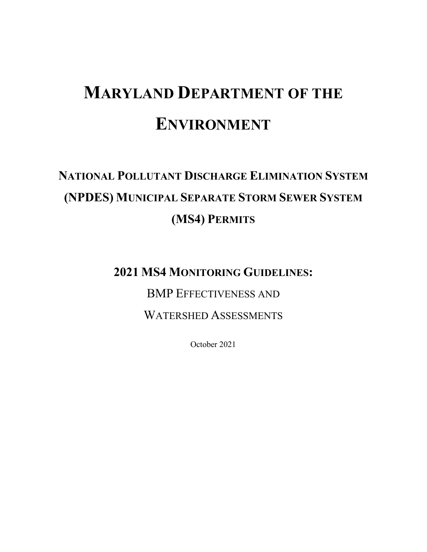# **MARYLAND DEPARTMENT OF THE ENVIRONMENT**

## **NATIONAL POLLUTANT DISCHARGE ELIMINATION SYSTEM (NPDES) MUNICIPAL SEPARATE STORM SEWER SYSTEM (MS4) PERMITS**

**2021 MS4 MONITORING GUIDELINES:**

BMP EFFECTIVENESS AND

WATERSHED ASSESSMENTS

October 2021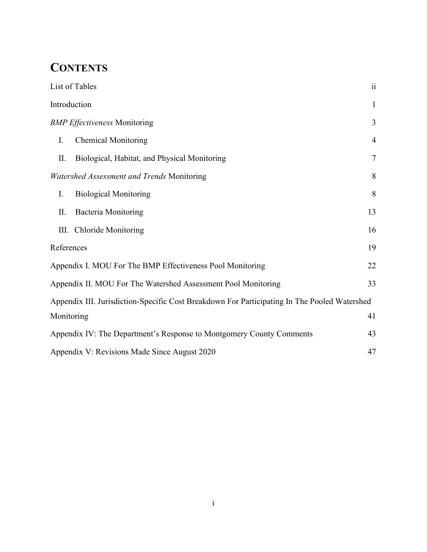## **CONTENTS**

|    | List of Tables                                                                               | $\ddot{i}$     |  |
|----|----------------------------------------------------------------------------------------------|----------------|--|
|    | Introduction                                                                                 | $\mathbf{1}$   |  |
|    | <b>BMP</b> Effectiveness Monitoring                                                          | 3              |  |
| I. | <b>Chemical Monitoring</b>                                                                   | $\overline{4}$ |  |
| П. | Biological, Habitat, and Physical Monitoring                                                 | $\overline{7}$ |  |
|    | Watershed Assessment and Trends Monitoring                                                   | 8              |  |
| I. | <b>Biological Monitoring</b>                                                                 | 8              |  |
| П. | <b>Bacteria Monitoring</b>                                                                   | 13             |  |
|    | III. Chloride Monitoring                                                                     | 16             |  |
|    | References                                                                                   | 19             |  |
|    | Appendix I. MOU For The BMP Effectiveness Pool Monitoring                                    | 22             |  |
|    | Appendix II. MOU For The Watershed Assessment Pool Monitoring                                | 33             |  |
|    | Appendix III. Jurisdiction-Specific Cost Breakdown For Participating In The Pooled Watershed |                |  |
|    | Monitoring                                                                                   | 41             |  |
|    | Appendix IV: The Department's Response to Montgomery County Comments                         | 43             |  |
|    | Appendix V: Revisions Made Since August 2020<br>47                                           |                |  |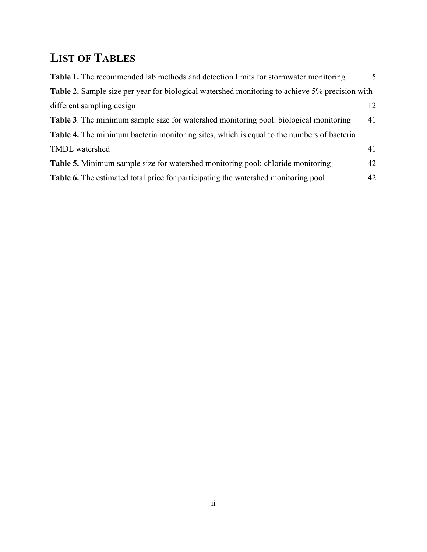## <span id="page-2-0"></span>**LIST OF TABLES**

| Table 1. The recommended lab methods and detection limits for stormwater monitoring            | $\overline{\mathcal{L}}$ |
|------------------------------------------------------------------------------------------------|--------------------------|
| Table 2. Sample size per year for biological watershed monitoring to achieve 5% precision with |                          |
| different sampling design                                                                      | 12.                      |
| Table 3. The minimum sample size for watershed monitoring pool: biological monitoring          | 41                       |
| Table 4. The minimum bacteria monitoring sites, which is equal to the numbers of bacteria      |                          |
| TMDL watershed                                                                                 | 41                       |
| <b>Table 5.</b> Minimum sample size for watershed monitoring pool: chloride monitoring         | 42                       |
| Table 6. The estimated total price for participating the watershed monitoring pool             | 42                       |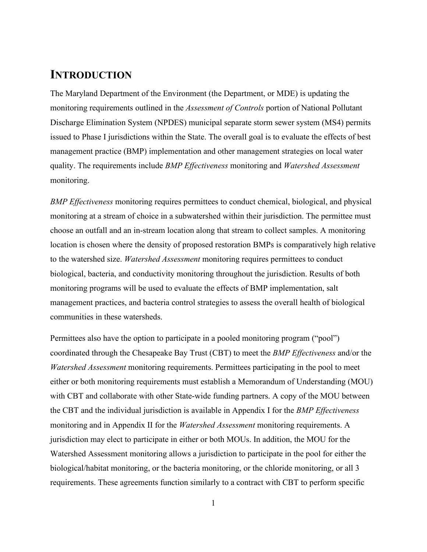### <span id="page-3-0"></span>**INTRODUCTION**

The Maryland Department of the Environment (the Department, or MDE) is updating the monitoring requirements outlined in the *Assessment of Controls* portion of National Pollutant Discharge Elimination System (NPDES) municipal separate storm sewer system (MS4) permits issued to Phase I jurisdictions within the State. The overall goal is to evaluate the effects of best management practice (BMP) implementation and other management strategies on local water quality. The requirements include *BMP Effectiveness* monitoring and *Watershed Assessment*  monitoring.

*BMP Effectiveness* monitoring requires permittees to conduct chemical, biological, and physical monitoring at a stream of choice in a subwatershed within their jurisdiction. The permittee must choose an outfall and an in-stream location along that stream to collect samples. A monitoring location is chosen where the density of proposed restoration BMPs is comparatively high relative to the watershed size. *Watershed Assessment* monitoring requires permittees to conduct biological, bacteria, and conductivity monitoring throughout the jurisdiction. Results of both monitoring programs will be used to evaluate the effects of BMP implementation, salt management practices, and bacteria control strategies to assess the overall health of biological communities in these watersheds.

Permittees also have the option to participate in a pooled monitoring program ("pool") coordinated through the Chesapeake Bay Trust (CBT) to meet the *BMP Effectiveness* and/or the *Watershed Assessment* monitoring requirements. Permittees participating in the pool to meet either or both monitoring requirements must establish a Memorandum of Understanding (MOU) with CBT and collaborate with other State-wide funding partners. A copy of the MOU between the CBT and the individual jurisdiction is available in Appendix I for the *BMP Effectiveness* monitoring and in Appendix II for the *Watershed Assessment* monitoring requirements. A jurisdiction may elect to participate in either or both MOUs. In addition, the MOU for the Watershed Assessment monitoring allows a jurisdiction to participate in the pool for either the biological/habitat monitoring, or the bacteria monitoring, or the chloride monitoring, or all 3 requirements. These agreements function similarly to a contract with CBT to perform specific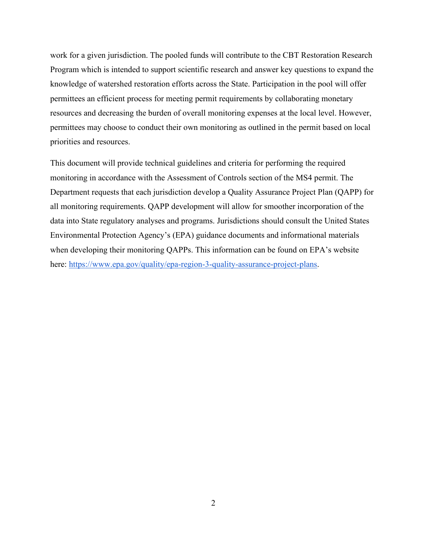work for a given jurisdiction. The pooled funds will contribute to the CBT Restoration Research Program which is intended to support scientific research and answer key questions to expand the knowledge of watershed restoration efforts across the State. Participation in the pool will offer permittees an efficient process for meeting permit requirements by collaborating monetary resources and decreasing the burden of overall monitoring expenses at the local level. However, permittees may choose to conduct their own monitoring as outlined in the permit based on local priorities and resources.

This document will provide technical guidelines and criteria for performing the required monitoring in accordance with the Assessment of Controls section of the MS4 permit. The Department requests that each jurisdiction develop a Quality Assurance Project Plan (QAPP) for all monitoring requirements. QAPP development will allow for smoother incorporation of the data into State regulatory analyses and programs. Jurisdictions should consult the United States Environmental Protection Agency's (EPA) guidance documents and informational materials when developing their monitoring QAPPs. This information can be found on EPA's website here: [https://www.epa.gov/quality/epa-region-3-quality-assurance-project-plans.](https://www.epa.gov/quality/epa-region-3-quality-assurance-project-plans)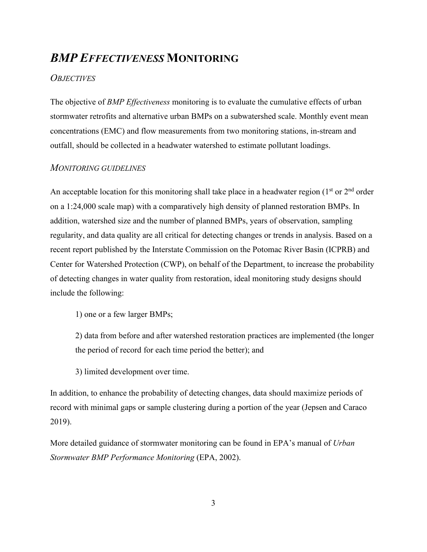### <span id="page-5-0"></span>*BMP EFFECTIVENESS* **MONITORING**

#### *OBJECTIVES*

The objective of *BMP Effectiveness* monitoring is to evaluate the cumulative effects of urban stormwater retrofits and alternative urban BMPs on a subwatershed scale. Monthly event mean concentrations (EMC) and flow measurements from two monitoring stations, in-stream and outfall, should be collected in a headwater watershed to estimate pollutant loadings.

#### *MONITORING GUIDELINES*

An acceptable location for this monitoring shall take place in a headwater region ( $1<sup>st</sup>$  or  $2<sup>nd</sup>$  order on a 1:24,000 scale map) with a comparatively high density of planned restoration BMPs. In addition, watershed size and the number of planned BMPs, years of observation, sampling regularity, and data quality are all critical for detecting changes or trends in analysis. Based on a recent report published by the Interstate Commission on the Potomac River Basin (ICPRB) and Center for Watershed Protection (CWP), on behalf of the Department, to increase the probability of detecting changes in water quality from restoration, ideal monitoring study designs should include the following:

1) one or a few larger BMPs;

2) data from before and after watershed restoration practices are implemented (the longer the period of record for each time period the better); and

3) limited development over time.

In addition, to enhance the probability of detecting changes, data should maximize periods of record with minimal gaps or sample clustering during a portion of the year (Jepsen and Caraco 2019).

More detailed guidance of stormwater monitoring can be found in EPA's manual of *Urban Stormwater BMP Performance Monitoring* (EPA, 2002).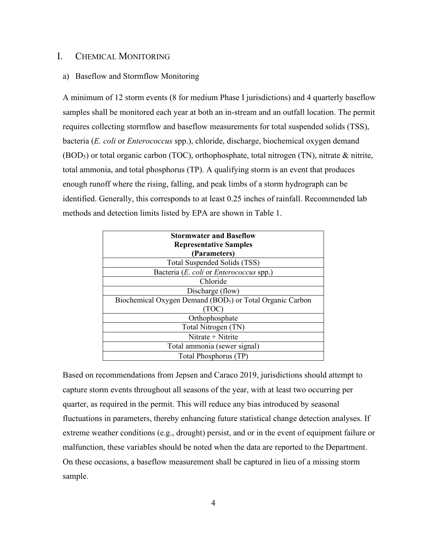#### <span id="page-6-0"></span>I. CHEMICAL MONITORING

#### a) Baseflow and Stormflow Monitoring

A minimum of 12 storm events (8 for medium Phase I jurisdictions) and 4 quarterly baseflow samples shall be monitored each year at both an in-stream and an outfall location. The permit requires collecting stormflow and baseflow measurements for total suspended solids (TSS), bacteria (*E. coli* or *Enterococcus* spp.), chloride, discharge, biochemical oxygen demand (BOD5) or total organic carbon (TOC), orthophosphate, total nitrogen (TN), nitrate & nitrite, total ammonia, and total phosphorus (TP). A qualifying storm is an event that produces enough runoff where the rising, falling, and peak limbs of a storm hydrograph can be identified. Generally, this corresponds to at least 0.25 inches of rainfall. Recommended lab methods and detection limits listed by EPA are shown in Table 1.

| <b>Stormwater and Baseflow</b>                                        |
|-----------------------------------------------------------------------|
| <b>Representative Samples</b>                                         |
| (Parameters)                                                          |
| Total Suspended Solids (TSS)                                          |
| Bacteria (E. coli or Enterococcus spp.)                               |
| Chloride                                                              |
| Discharge (flow)                                                      |
| Biochemical Oxygen Demand (BOD <sub>5</sub> ) or Total Organic Carbon |
| (TOC)                                                                 |
| Orthophosphate                                                        |
| Total Nitrogen (TN)                                                   |
| Nitrate + Nitrite                                                     |
| Total ammonia (sewer signal)                                          |
| Total Phosphorus (TP)                                                 |

Based on recommendations from Jepsen and Caraco 2019, jurisdictions should attempt to capture storm events throughout all seasons of the year, with at least two occurring per quarter, as required in the permit. This will reduce any bias introduced by seasonal fluctuations in parameters, thereby enhancing future statistical change detection analyses. If extreme weather conditions (e.g., drought) persist, and or in the event of equipment failure or malfunction, these variables should be noted when the data are reported to the Department. On these occasions, a baseflow measurement shall be captured in lieu of a missing storm sample.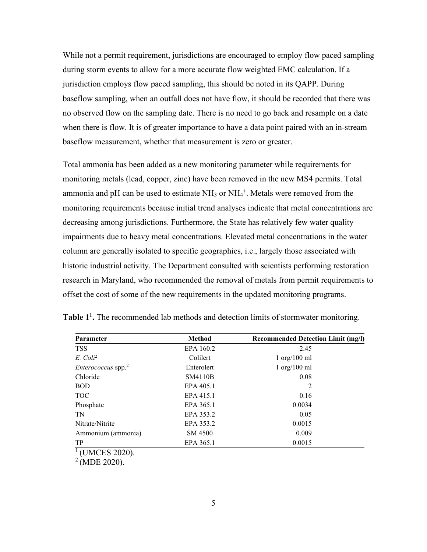While not a permit requirement, jurisdictions are encouraged to employ flow paced sampling during storm events to allow for a more accurate flow weighted EMC calculation. If a jurisdiction employs flow paced sampling, this should be noted in its QAPP. During baseflow sampling, when an outfall does not have flow, it should be recorded that there was no observed flow on the sampling date. There is no need to go back and resample on a date when there is flow. It is of greater importance to have a data point paired with an in-stream baseflow measurement, whether that measurement is zero or greater.

Total ammonia has been added as a new monitoring parameter while requirements for monitoring metals (lead, copper, zinc) have been removed in the new MS4 permits. Total ammonia and pH can be used to estimate  $NH_3$  or  $NH_4^+$ . Metals were removed from the monitoring requirements because initial trend analyses indicate that metal concentrations are decreasing among jurisdictions. Furthermore, the State has relatively few water quality impairments due to heavy metal concentrations. Elevated metal concentrations in the water column are generally isolated to specific geographies, i.e., largely those associated with historic industrial activity. The Department consulted with scientists performing restoration research in Maryland, who recommended the removal of metals from permit requirements to offset the cost of some of the new requirements in the updated monitoring programs.

| <b>Parameter</b>        | <b>Method</b> | <b>Recommended Detection Limit (mg/l)</b> |  |
|-------------------------|---------------|-------------------------------------------|--|
| <b>TSS</b>              | EPA 160.2     | 2.45                                      |  |
| $E.$ Coli <sup>2</sup>  | Colilert      | $1 \text{ org}/100 \text{ ml}$            |  |
| $Enterococcus$ spp. $2$ | Enterolert    | $1 \text{ org}/100 \text{ ml}$            |  |
| Chloride                | SM4110B       | 0.08                                      |  |
| <b>BOD</b>              | EPA 405.1     | 2                                         |  |
| <b>TOC</b>              | EPA 415.1     | 0.16                                      |  |
| Phosphate               | EPA 365.1     | 0.0034                                    |  |
| TN                      | EPA 353.2     | 0.05                                      |  |
| Nitrate/Nitrite         | EPA 353.2     | 0.0015                                    |  |
| Ammonium (ammonia)      | SM 4500       | 0.009                                     |  |
| TP                      | EPA 365.1     | 0.0015                                    |  |

<span id="page-7-0"></span>**Table 11.** The recommended lab methods and detection limits of stormwater monitoring.

 $1$  (UMCES 2020).

 $^{2}$  (MDE 2020).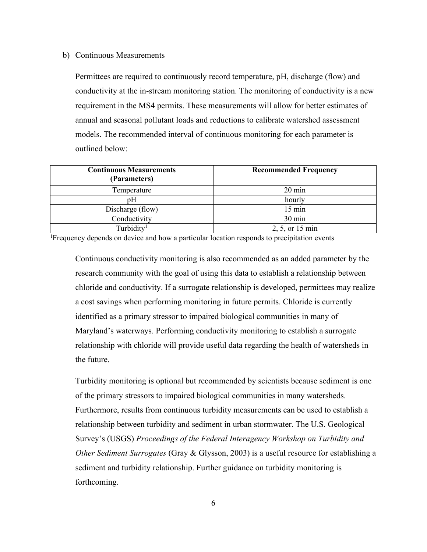#### b) Continuous Measurements

Permittees are required to continuously record temperature, pH, discharge (flow) and conductivity at the in-stream monitoring station. The monitoring of conductivity is a new requirement in the MS4 permits. These measurements will allow for better estimates of annual and seasonal pollutant loads and reductions to calibrate watershed assessment models. The recommended interval of continuous monitoring for each parameter is outlined below:

| <b>Continuous Measurements</b><br>(Parameters) | <b>Recommended Frequency</b> |
|------------------------------------------------|------------------------------|
| Temperature                                    | $20 \text{ min}$             |
| pΗ                                             | hourly                       |
| Discharge (flow)                               | $15 \text{ min}$             |
| Conductivity                                   | $30 \text{ min}$             |
| Turbidity <sup>1</sup>                         | 2, 5, or 15 min              |

<sup>1</sup>Frequency depends on device and how a particular location responds to precipitation events

Continuous conductivity monitoring is also recommended as an added parameter by the research community with the goal of using this data to establish a relationship between chloride and conductivity. If a surrogate relationship is developed, permittees may realize a cost savings when performing monitoring in future permits. Chloride is currently identified as a primary stressor to impaired biological communities in many of Maryland's waterways. Performing conductivity monitoring to establish a surrogate relationship with chloride will provide useful data regarding the health of watersheds in the future.

Turbidity monitoring is optional but recommended by scientists because sediment is one of the primary stressors to impaired biological communities in many watersheds. Furthermore, results from continuous turbidity measurements can be used to establish a relationship between turbidity and sediment in urban stormwater. The U.S. Geological Survey's (USGS) *Proceedings of the Federal Interagency Workshop on Turbidity and Other Sediment Surrogates* [\(Gray & Glysson, 2003\)](https://pubs.usgs.gov/circ/2003/circ1250/pdf/circ1250.book_web.pdf) is a useful resource for establishing a sediment and turbidity relationship. Further guidance on turbidity monitoring is forthcoming.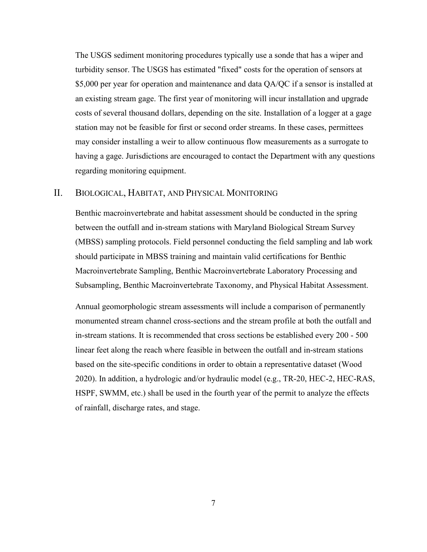The USGS sediment monitoring procedures typically use a sonde that has a wiper and turbidity sensor. The USGS has estimated "fixed" costs for the operation of sensors at \$5,000 per year for operation and maintenance and data QA/QC if a sensor is installed at an existing stream gage. The first year of monitoring will incur installation and upgrade costs of several thousand dollars, depending on the site. Installation of a logger at a gage station may not be feasible for first or second order streams. In these cases, permittees may consider installing a weir to allow continuous flow measurements as a surrogate to having a gage. Jurisdictions are encouraged to contact the Department with any questions regarding monitoring equipment.

#### <span id="page-9-0"></span>II. BIOLOGICAL, HABITAT, AND PHYSICAL MONITORING

Benthic macroinvertebrate and habitat assessment should be conducted in the spring between the outfall and in-stream stations with Maryland Biological Stream Survey (MBSS) sampling protocols. Field personnel conducting the field sampling and lab work should participate in MBSS training and maintain valid certifications for Benthic Macroinvertebrate Sampling, Benthic Macroinvertebrate Laboratory Processing and Subsampling, Benthic Macroinvertebrate Taxonomy, and Physical Habitat Assessment.

Annual geomorphologic stream assessments will include a comparison of permanently monumented stream channel cross-sections and the stream profile at both the outfall and in-stream stations. It is recommended that cross sections be established every 200 - 500 linear feet along the reach where feasible in between the outfall and in-stream stations based on the site-specific conditions in order to obtain a representative dataset (Wood 2020). In addition, a hydrologic and/or hydraulic model (e.g., TR-20, HEC-2, HEC-RAS, HSPF, SWMM, etc.) shall be used in the fourth year of the permit to analyze the effects of rainfall, discharge rates, and stage.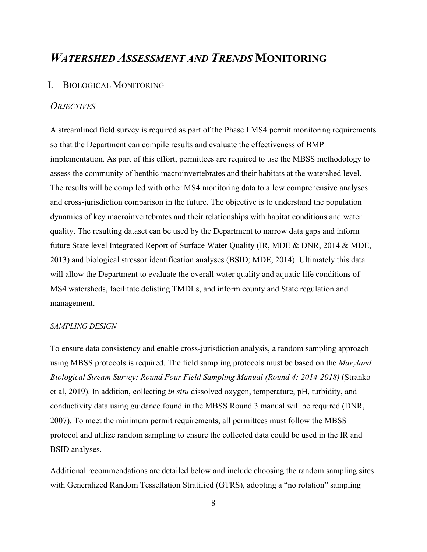### <span id="page-10-0"></span>*WATERSHED ASSESSMENT AND TRENDS* **MONITORING**

#### <span id="page-10-1"></span>I. BIOLOGICAL MONITORING

#### *OBJECTIVES*

A streamlined field survey is required as part of the Phase I MS4 permit monitoring requirements so that the Department can compile results and evaluate the effectiveness of BMP implementation. As part of this effort, permittees are required to use the MBSS methodology to assess the community of benthic macroinvertebrates and their habitats at the watershed level. The results will be compiled with other MS4 monitoring data to allow comprehensive analyses and cross-jurisdiction comparison in the future. The objective is to understand the population dynamics of key macroinvertebrates and their relationships with habitat conditions and water quality. The resulting dataset can be used by the Department to narrow data gaps and inform future State level Integrated Report of Surface Water Quality (IR, MDE & DNR, 2014 & MDE, 2013) and biological stressor identification analyses (BSID; MDE, 2014). Ultimately this data will allow the Department to evaluate the overall water quality and aquatic life conditions of MS4 watersheds, facilitate delisting TMDLs, and inform county and State regulation and management.

#### *SAMPLING DESIGN*

To ensure data consistency and enable cross-jurisdiction analysis, a random sampling approach using MBSS protocols is required. The field sampling protocols must be based on the *Maryland Biological Stream Survey: Round Four Field Sampling Manual (Round 4: 2014-2018)* (Stranko et al, 2019). In addition, collecting *in situ* dissolved oxygen, temperature, pH, turbidity, and conductivity data using guidance found in the MBSS Round 3 manual will be required (DNR, 2007). To meet the minimum permit requirements, all permittees must follow the MBSS protocol and utilize random sampling to ensure the collected data could be used in the IR and BSID analyses.

Additional recommendations are detailed below and include choosing the random sampling sites with Generalized Random Tessellation Stratified (GTRS), adopting a "no rotation" sampling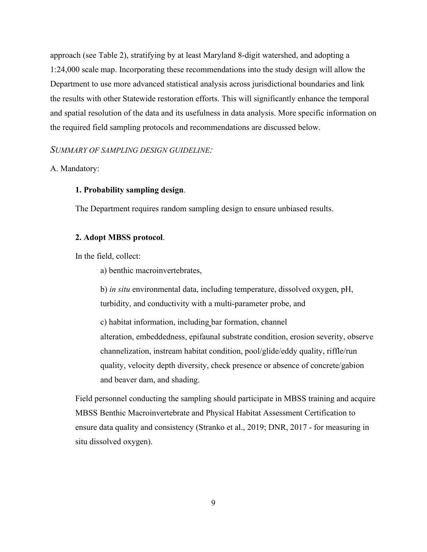approach (see Table 2), stratifying by at least Maryland 8-digit watershed, and adopting a 1:24,000 scale map. Incorporating these recommendations into the study design will allow the Department to use more advanced statistical analysis across jurisdictional boundaries and link the results with other Statewide restoration efforts. This will significantly enhance the temporal and spatial resolution of the data and its usefulness in data analysis. More specific information on the required field sampling protocols and recommendations are discussed below.

#### *SUMMARY OF SAMPLING DESIGN GUIDELINE:*

#### A. Mandatory:

#### **1. Probability sampling design**.

The Department requires random sampling design to ensure unbiased results.

#### **2. Adopt MBSS protocol**.

In the field, collect:

a) benthic macroinvertebrates,

b) *in situ* environmental data, including temperature, dissolved oxygen, pH, turbidity, and conductivity with a multi-parameter probe, and

c) habitat information, including bar formation, channel alteration, embeddedness, epifaunal substrate condition, erosion severity, observe channelization, instream habitat condition, pool/glide/eddy quality, riffle/run quality, velocity depth diversity, check presence or absence of concrete/gabion and beaver dam, and shading.

Field personnel conducting the sampling should participate in MBSS training and acquire MBSS Benthic Macroinvertebrate and Physical Habitat Assessment Certification to ensure data quality and consistency (Stranko et al., 2019; DNR, 2017 - for measuring in situ dissolved oxygen).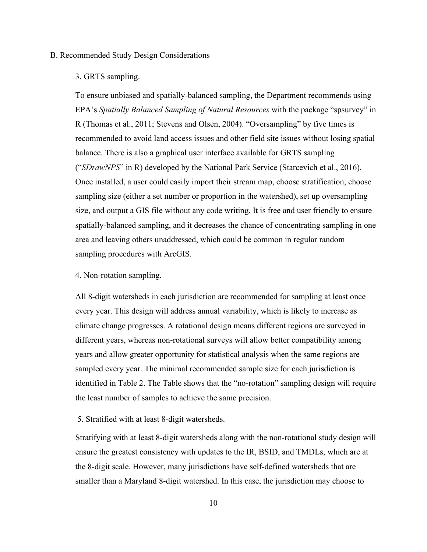#### B. Recommended Study Design Considerations

#### 3. GRTS sampling.

To ensure unbiased and spatially-balanced sampling, the Department recommends using EPA's *Spatially Balanced Sampling of Natural Resources* with the package "spsurvey" in R (Thomas et al., 2011; Stevens and Olsen, 2004). "Oversampling" by five times is recommended to avoid land access issues and other field site issues without losing spatial balance. There is also a graphical user interface available for GRTS sampling ("*SDrawNPS*" in R) developed by the National Park Service (Starcevich et al., 2016). Once installed, a user could easily import their stream map, choose stratification, choose sampling size (either a set number or proportion in the watershed), set up oversampling size, and output a GIS file without any code writing. It is free and user friendly to ensure spatially-balanced sampling, and it decreases the chance of concentrating sampling in one area and leaving others unaddressed, which could be common in regular random sampling procedures with ArcGIS.

#### 4. Non-rotation sampling.

All 8-digit watersheds in each jurisdiction are recommended for sampling at least once every year. This design will address annual variability, which is likely to increase as climate change progresses. A rotational design means different regions are surveyed in different years, whereas non-rotational surveys will allow better compatibility among years and allow greater opportunity for statistical analysis when the same regions are sampled every year. The minimal recommended sample size for each jurisdiction is identified in Table 2. The Table shows that the "no-rotation" sampling design will require the least number of samples to achieve the same precision.

#### 5. Stratified with at least 8-digit watersheds.

Stratifying with at least 8-digit watersheds along with the non-rotational study design will ensure the greatest consistency with updates to the IR, BSID, and TMDLs, which are at the 8-digit scale. However, many jurisdictions have self-defined watersheds that are smaller than a Maryland 8-digit watershed. In this case, the jurisdiction may choose to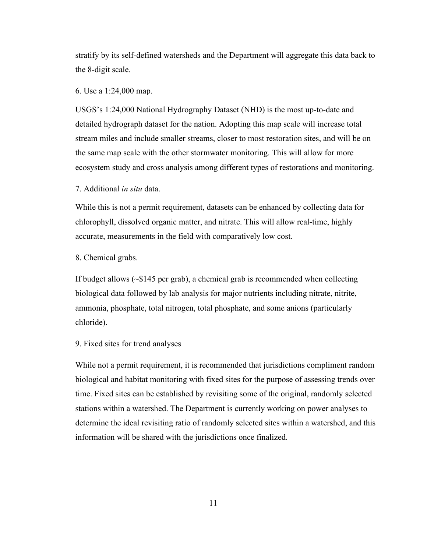stratify by its self-defined watersheds and the Department will aggregate this data back to the 8-digit scale.

#### 6. Use a 1:24,000 map.

USGS's 1:24,000 National Hydrography Dataset (NHD) is the most up-to-date and detailed hydrograph dataset for the nation. Adopting this map scale will increase total stream miles and include smaller streams, closer to most restoration sites, and will be on the same map scale with the other stormwater monitoring. This will allow for more ecosystem study and cross analysis among different types of restorations and monitoring.

#### 7. Additional *in situ* data.

While this is not a permit requirement, datasets can be enhanced by collecting data for chlorophyll, dissolved organic matter, and nitrate. This will allow real-time, highly accurate, measurements in the field with comparatively low cost.

8. Chemical grabs.

If budget allows (~\$145 per grab), a chemical grab is recommended when collecting biological data followed by lab analysis for major nutrients including nitrate, nitrite, ammonia, phosphate, total nitrogen, total phosphate, and some anions (particularly chloride).

#### 9. Fixed sites for trend analyses

While not a permit requirement, it is recommended that jurisdictions compliment random biological and habitat monitoring with fixed sites for the purpose of assessing trends over time. Fixed sites can be established by revisiting some of the original, randomly selected stations within a watershed. The Department is currently working on power analyses to determine the ideal revisiting ratio of randomly selected sites within a watershed, and this information will be shared with the jurisdictions once finalized.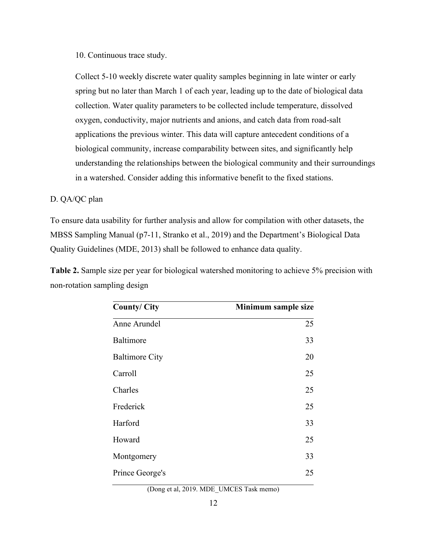10. Continuous trace study.

Collect 5-10 weekly discrete water quality samples beginning in late winter or early spring but no later than March 1 of each year, leading up to the date of biological data collection. Water quality parameters to be collected include temperature, dissolved oxygen, conductivity, major nutrients and anions, and catch data from road-salt applications the previous winter. This data will capture antecedent conditions of a biological community, increase comparability between sites, and significantly help understanding the relationships between the biological community and their surroundings in a watershed. Consider adding this informative benefit to the fixed stations.

#### D. QA/QC plan

To ensure data usability for further analysis and allow for compilation with other datasets, the MBSS Sampling Manual (p7-11, Stranko et al., 2019) and the Department's Biological Data Quality Guidelines (MDE, 2013) shall be followed to enhance data quality.

**Table 2.** Sample size per year for biological watershed monitoring to achieve 5% precision with non-rotation sampling design

<span id="page-14-0"></span>

| <b>County/City</b>    | Minimum sample size |
|-----------------------|---------------------|
| Anne Arundel          | 25                  |
| Baltimore             | 33                  |
| <b>Baltimore City</b> | 20                  |
| Carroll               | 25                  |
| Charles               | 25                  |
| Frederick             | 25                  |
| Harford               | 33                  |
| Howard                | 25                  |
| Montgomery            | 33                  |
| Prince George's       | 25                  |
|                       |                     |

(Dong et al, 2019. MDE\_UMCES Task memo)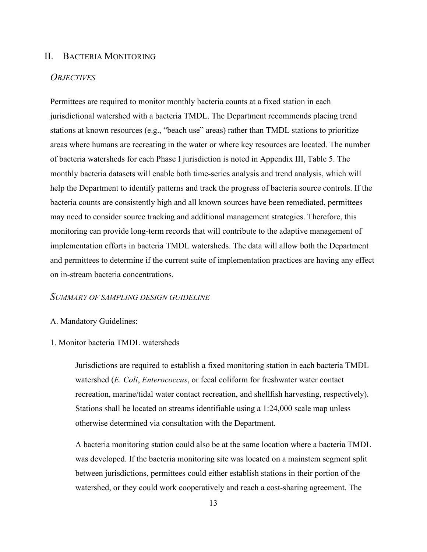#### <span id="page-15-0"></span>II. BACTERIA MONITORING

#### *OBJECTIVES*

Permittees are required to monitor monthly bacteria counts at a fixed station in each jurisdictional watershed with a bacteria TMDL. The Department recommends placing trend stations at known resources (e.g., "beach use" areas) rather than TMDL stations to prioritize areas where humans are recreating in the water or where key resources are located. The number of bacteria watersheds for each Phase I jurisdiction is noted in Appendix III, Table 5. The monthly bacteria datasets will enable both time-series analysis and trend analysis, which will help the Department to identify patterns and track the progress of bacteria source controls. If the bacteria counts are consistently high and all known sources have been remediated, permittees may need to consider source tracking and additional management strategies. Therefore, this monitoring can provide long-term records that will contribute to the adaptive management of implementation efforts in bacteria TMDL watersheds. The data will allow both the Department and permittees to determine if the current suite of implementation practices are having any effect on in-stream bacteria concentrations.

#### *SUMMARY OF SAMPLING DESIGN GUIDELINE*

#### A. Mandatory Guidelines:

#### 1. Monitor bacteria TMDL watersheds

Jurisdictions are required to establish a fixed monitoring station in each bacteria TMDL watershed (*E. Coli*, *Enterococcus*, or fecal coliform for freshwater water contact recreation, marine/tidal water contact recreation, and shellfish harvesting, respectively). Stations shall be located on streams identifiable using a 1:24,000 scale map unless otherwise determined via consultation with the Department.

A bacteria monitoring station could also be at the same location where a bacteria TMDL was developed. If the bacteria monitoring site was located on a mainstem segment split between jurisdictions, permittees could either establish stations in their portion of the watershed, or they could work cooperatively and reach a cost-sharing agreement. The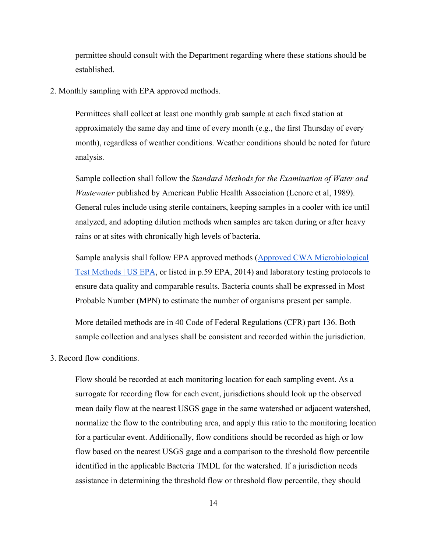permittee should consult with the Department regarding where these stations should be established.

2. Monthly sampling with EPA approved methods.

Permittees shall collect at least one monthly grab sample at each fixed station at approximately the same day and time of every month (e.g., the first Thursday of every month), regardless of weather conditions. Weather conditions should be noted for future analysis.

Sample collection shall follow the *Standard Methods for the Examination of Water and Wastewater* published by American Public Health Association (Lenore et al, 1989). General rules include using sterile containers, keeping samples in a cooler with ice until analyzed, and adopting dilution methods when samples are taken during or after heavy rains or at sites with chronically high levels of bacteria.

Sample analysis shall follow EPA approved methods [\(Approved CWA Microbiological](https://www.epa.gov/cwa-methods/approved-cwa-microbiological-test-methods)  [Test Methods | US EPA,](https://www.epa.gov/cwa-methods/approved-cwa-microbiological-test-methods) or listed in p.59 EPA, 2014) and laboratory testing protocols to ensure data quality and comparable results. Bacteria counts shall be expressed in Most Probable Number (MPN) to estimate the number of organisms present per sample.

More detailed methods are in 40 Code of Federal Regulations (CFR) part 136. Both sample collection and analyses shall be consistent and recorded within the jurisdiction.

3. Record flow conditions.

Flow should be recorded at each monitoring location for each sampling event. As a surrogate for recording flow for each event, jurisdictions should look up the observed mean daily flow at the nearest USGS gage in the same watershed or adjacent watershed, normalize the flow to the contributing area, and apply this ratio to the monitoring location for a particular event. Additionally, flow conditions should be recorded as high or low flow based on the nearest USGS gage and a comparison to the threshold flow percentile identified in the applicable Bacteria TMDL for the watershed. If a jurisdiction needs assistance in determining the threshold flow or threshold flow percentile, they should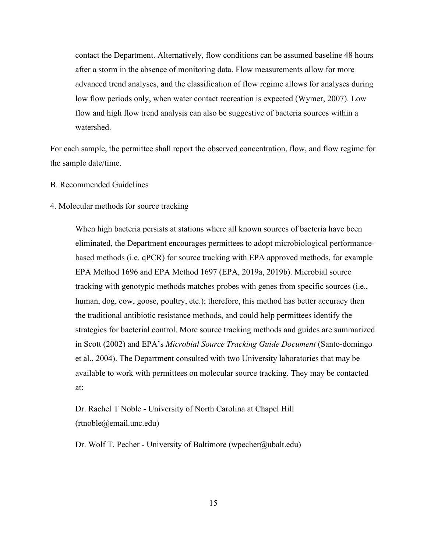contact the Department. Alternatively, flow conditions can be assumed baseline 48 hours after a storm in the absence of monitoring data. Flow measurements allow for more advanced trend analyses, and the classification of flow regime allows for analyses during low flow periods only, when water contact recreation is expected (Wymer, 2007). Low flow and high flow trend analysis can also be suggestive of bacteria sources within a watershed.

For each sample, the permittee shall report the observed concentration, flow, and flow regime for the sample date/time.

B. Recommended Guidelines

#### 4. Molecular methods for source tracking

When high bacteria persists at stations where all known sources of bacteria have been eliminated, the Department encourages permittees to adopt microbiological performancebased methods (i.e. qPCR) for source tracking with EPA approved methods, for example EPA Method 1696 and EPA Method 1697 (EPA, 2019a, 2019b). Microbial source tracking with genotypic methods matches probes with genes from specific sources (i.e., human, dog, cow, goose, poultry, etc.); therefore, this method has better accuracy then the traditional antibiotic resistance methods, and could help permittees identify the strategies for bacterial control. More source tracking methods and guides are summarized in Scott (2002) and EPA's *Microbial Source Tracking Guide Document* (Santo-domingo et al., 2004). The Department consulted with two University laboratories that may be available to work with permittees on molecular source tracking. They may be contacted at:

[Dr. Rachel T Noble](http://noble.web.unc.edu/team/rachel-noble/) - University of North Carolina at Chapel Hill [\(rtnoble@email.unc.edu\)](mailto:rtnoble@email.unc.edu)

[Dr. Wolf T. Pecher](http://www.ubalt.edu/cas/faculty/alphabetical-directory/wolf-t-pecher.cfm) - University of Baltimore [\(wpecher@ubalt.edu\)](mailto:wpecher@ubalt.edu)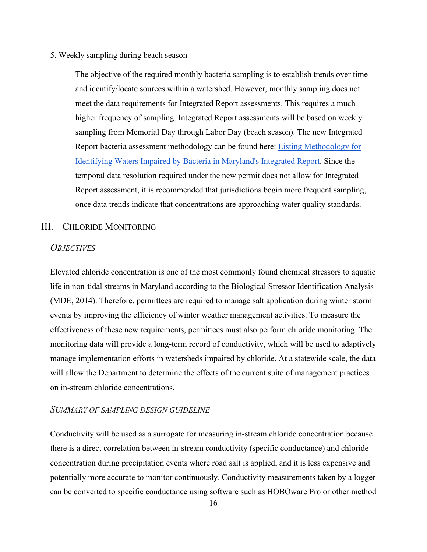#### 5. Weekly sampling during beach season

The objective of the required monthly bacteria sampling is to establish trends over time and identify/locate sources within a watershed. However, monthly sampling does not meet the data requirements for Integrated Report assessments. This requires a much higher frequency of sampling. Integrated Report assessments will be based on weekly sampling from Memorial Day through Labor Day (beach season). The new Integrated Report bacteria assessment methodology can be found here: [Listing Methodology for](https://mde.maryland.gov/programs/Water/TMDL/Integrated303dReports/Documents/Assessment_Methodologies/Bacteria_Listing_Methodology_Final_2_25_2020.pdf)  [Identifying Waters Impaired by Bacteria in Maryland's Integrated Report.](https://mde.maryland.gov/programs/Water/TMDL/Integrated303dReports/Documents/Assessment_Methodologies/Bacteria_Listing_Methodology_Final_2_25_2020.pdf) Since the temporal data resolution required under the new permit does not allow for Integrated Report assessment, it is recommended that jurisdictions begin more frequent sampling, once data trends indicate that concentrations are approaching water quality standards.

#### <span id="page-18-0"></span>III. CHLORIDE MONITORING

#### *OBJECTIVES*

Elevated chloride concentration is one of the most commonly found chemical stressors to aquatic life in non-tidal streams in Maryland according to the Biological Stressor Identification Analysis (MDE, 2014). Therefore, permittees are required to manage salt application during winter storm events by improving the efficiency of winter weather management activities. To measure the effectiveness of these new requirements, permittees must also perform chloride monitoring. The monitoring data will provide a long-term record of conductivity, which will be used to adaptively manage implementation efforts in watersheds impaired by chloride. At a statewide scale, the data will allow the Department to determine the effects of the current suite of management practices on in-stream chloride concentrations.

#### *SUMMARY OF SAMPLING DESIGN GUIDELINE*

Conductivity will be used as a surrogate for measuring in-stream chloride concentration because there is a direct correlation between in-stream conductivity (specific conductance) and chloride concentration during precipitation events where road salt is applied, and it is less expensive and potentially more accurate to monitor continuously. Conductivity measurements taken by a logger can be converted to specific conductance using software such as HOBOware Pro or other method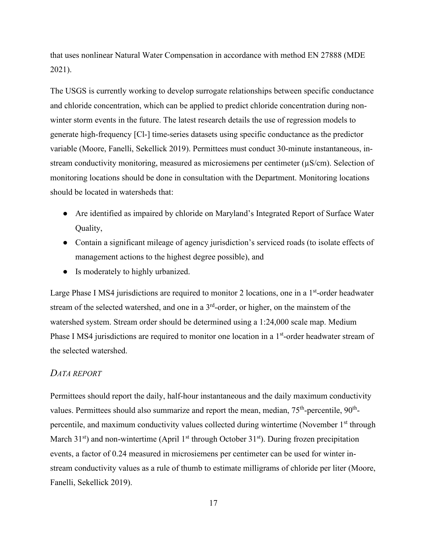that uses nonlinear Natural Water Compensation in accordance with method EN 27888 (MDE 2021).

The USGS is currently working to develop surrogate relationships between specific conductance and chloride concentration, which can be applied to predict chloride concentration during nonwinter storm events in the future. The latest research details the use of regression models to generate high-frequency [Cl-] time-series datasets using specific conductance as the predictor variable (Moore, Fanelli, Sekellick 2019). Permittees must conduct 30-minute instantaneous, instream conductivity monitoring, measured as microsiemens per centimeter (µS/cm). Selection of monitoring locations should be done in consultation with the Department. Monitoring locations should be located in watersheds that:

- Are identified as impaired by chloride on Maryland's Integrated Report of Surface Water Quality,
- Contain a significant mileage of agency jurisdiction's serviced roads (to isolate effects of management actions to the highest degree possible), and
- Is moderately to highly urbanized.

Large Phase I MS4 jurisdictions are required to monitor 2 locations, one in a  $1<sup>st</sup>$ -order headwater stream of the selected watershed, and one in a  $3<sup>rd</sup>$ -order, or higher, on the mainstem of the watershed system. Stream order should be determined using a 1:24,000 scale map. Medium Phase I MS4 jurisdictions are required to monitor one location in a 1<sup>st</sup>-order headwater stream of the selected watershed.

#### *DATA REPORT*

Permittees should report the daily, half-hour instantaneous and the daily maximum conductivity values. Permittees should also summarize and report the mean, median,  $75<sup>th</sup>$ -percentile,  $90<sup>th</sup>$ percentile, and maximum conductivity values collected during wintertime (November  $1<sup>st</sup>$  through March  $31<sup>st</sup>$ ) and non-wintertime (April  $1<sup>st</sup>$  through October  $31<sup>st</sup>$ ). During frozen precipitation events, a factor of 0.24 measured in microsiemens per centimeter can be used for winter instream conductivity values as a rule of thumb to estimate milligrams of chloride per liter (Moore, Fanelli, Sekellick 2019).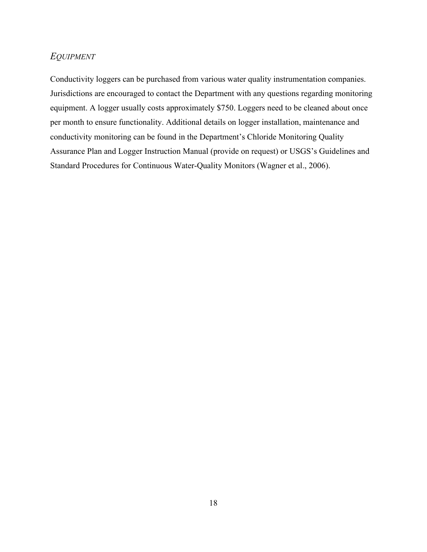#### *EQUIPMENT*

Conductivity loggers can be purchased from various water quality instrumentation companies. Jurisdictions are encouraged to contact the Department with any questions regarding monitoring equipment. A logger usually costs approximately \$750. Loggers need to be cleaned about once per month to ensure functionality. Additional details on logger installation, maintenance and conductivity monitoring can be found in the Department's Chloride Monitoring Quality Assurance Plan and Logger Instruction Manual (provide on request) or USGS's Guidelines and Standard Procedures for Continuous Water-Quality Monitors (Wagner et al., 2006).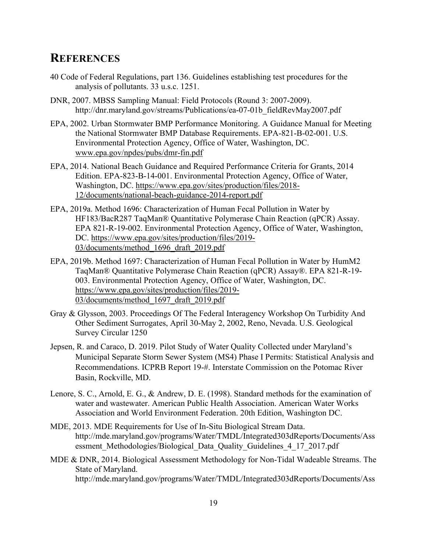### <span id="page-21-0"></span>**REFERENCES**

- 40 Code of Federal Regulations, part 136. Guidelines establishing test procedures for the analysis of pollutants. 33 u.s.c. 1251.
- DNR, 2007. MBSS Sampling Manual: Field Protocols (Round 3: 2007-2009). [http://dnr.maryland.gov/streams/Publications/ea-07-01b\\_fieldRevMay2007.pdf](http://dnr.maryland.gov/streams/Publications/ea-07-01b_fieldRevMay2007.pdf)
- EPA, 2002. Urban Stormwater BMP Performance Monitoring. A Guidance Manual for Meeting the National Stormwater BMP Database Requirements. EPA-821-B-02-001. U.S. Environmental Protection Agency, Office of Water, Washington, DC. [www.epa.gov/npdes/pubs/dmr-fin.pdf](http://www.epa.gov/npdes/pubs/dmr-fin.pdf)
- EPA, 2014. National Beach Guidance and Required Performance Criteria for Grants, 2014 Edition. EPA-823-B-14-001. Environmental Protection Agency, Office of Water, Washington, DC. [https://www.epa.gov/sites/production/files/2018-](https://www.epa.gov/sites/production/files/2018-12/documents/national-beach-guidance-2014-report.pdf) [12/documents/national-beach-guidance-2014-report.pdf](https://www.epa.gov/sites/production/files/2018-12/documents/national-beach-guidance-2014-report.pdf)
- EPA, 2019a. Method 1696: Characterization of Human Fecal Pollution in Water by HF183/BacR287 TaqMan® Quantitative Polymerase Chain Reaction (qPCR) Assay. EPA 821-R-19-002. Environmental Protection Agency, Office of Water, Washington, DC. [https://www.epa.gov/sites/production/files/2019-](https://www.epa.gov/sites/production/files/2019-03/documents/method_1696_draft_2019.pdf) [03/documents/method\\_1696\\_draft\\_2019.pdf](https://www.epa.gov/sites/production/files/2019-03/documents/method_1696_draft_2019.pdf)
- EPA, 2019b. Method 1697: Characterization of Human Fecal Pollution in Water by HumM2 TaqMan® Quantitative Polymerase Chain Reaction (qPCR) Assay®. EPA 821-R-19- 003. Environmental Protection Agency, Office of Water, Washington, DC. [https://www.epa.gov/sites/production/files/2019-](https://www.epa.gov/sites/production/files/2019-03/documents/method_1697_draft_2019.pdf) [03/documents/method\\_1697\\_draft\\_2019.pdf](https://www.epa.gov/sites/production/files/2019-03/documents/method_1697_draft_2019.pdf)
- Gray & Glysson, 2003. Proceedings Of The Federal Interagency Workshop On Turbidity And Other Sediment Surrogates, April 30-May 2, 2002, Reno, Nevada. U.S. Geological Survey Circular 1250
- Jepsen, R. and Caraco, D. 2019. Pilot Study of Water Quality Collected under Maryland's Municipal Separate Storm Sewer System (MS4) Phase I Permits: Statistical Analysis and Recommendations. ICPRB Report 19-#. Interstate Commission on the Potomac River Basin, Rockville, MD.
- Lenore, S. C., Arnold, E. G., & Andrew, D. E. (1998). Standard methods for the examination of water and wastewater. American Public Health Association. American Water Works Association and World Environment Federation. 20th Edition, Washington DC.
- MDE, 2013. MDE Requirements for Use of In-Situ Biological Stream Data. http://mde.maryland.gov/programs/Water/TMDL/Integrated303dReports/Documents/Ass essment Methodologies/Biological Data Quality\_Guidelines\_4\_17\_2017.pdf
- MDE & DNR, 2014. Biological Assessment Methodology for Non-Tidal Wadeable Streams. The State of Maryland. http://mde.maryland.gov/programs/Water/TMDL/Integrated303dReports/Documents/Ass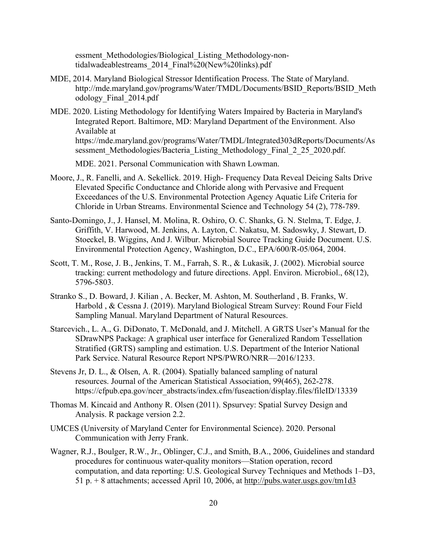essment Methodologies/Biological Listing Methodology-nontidalwadeablestreams\_2014\_Final%20(New%20links).pdf

- MDE, 2014. Maryland Biological Stressor Identification Process. The State of Maryland. [http://mde.maryland.gov/programs/Water/TMDL/Documents/BSID\\_Reports/BSID\\_Meth](http://mde.maryland.gov/programs/Water/TMDL/Documents/BSID_Reports/BSID_Methodology_Final_2014.pdf) [odology\\_Final\\_2014.pdf](http://mde.maryland.gov/programs/Water/TMDL/Documents/BSID_Reports/BSID_Methodology_Final_2014.pdf)
- MDE. 2020. Listing Methodology for Identifying Waters Impaired by Bacteria in Maryland's Integrated Report. Baltimore, MD: Maryland Department of the Environment. Also Available at [https://mde.maryland.gov/programs/Water/TMDL/Integrated303dReports/Documents/As](https://mde.maryland.gov/programs/Water/TMDL/Integrated303dReports/Documents/Assessment_Methodologies/Bacteria_Listing_Methodology_Final_2_25_2020.pdf) sessment Methodologies/Bacteria Listing Methodology Final 2 25 2020.pdf.

MDE. 2021. Personal Communication with Shawn Lowman.

- Moore, J., R. Fanelli, and A. Sekellick. 2019. High- Frequency Data Reveal Deicing Salts Drive Elevated Specific Conductance and Chloride along with Pervasive and Frequent Exceedances of the U.S. Environmental Protection Agency Aquatic Life Criteria for Chloride in Urban Streams. Environmental Science and Technology 54 (2), 778-789.
- Santo-Domingo, J., J. Hansel, M. Molina, R. Oshiro, O. C. Shanks, G. N. Stelma, T. Edge, J. Griffith, V. Harwood, M. Jenkins, A. Layton, C. Nakatsu, M. Sadoswky, J. Stewart, D. Stoeckel, B. Wiggins, And J. Wilbur. Microbial Source Tracking Guide Document. U.S. Environmental Protection Agency, Washington, D.C., EPA/600/R-05/064, 2004.
- Scott, T. M., Rose, J. B., Jenkins, T. M., Farrah, S. R., & Lukasik, J. (2002). Microbial source tracking: current methodology and future directions. Appl. Environ. Microbiol., 68(12), 5796-5803.
- Stranko S., D. Boward, J. Kilian , A. Becker, M. Ashton, M. Southerland , B. Franks, W. Harbold , & Cessna J. (2019). Maryland Biological Stream Survey: Round Four Field Sampling Manual. Maryland Department of Natural Resources.
- Starcevich., L. A., G. DiDonato, T. McDonald, and J. Mitchell. A GRTS User's Manual for the SDrawNPS Package: A graphical user interface for Generalized Random Tessellation Stratified (GRTS) sampling and estimation. U.S. Department of the Interior National Park Service. Natural Resource Report NPS/PWRO/NRR—2016/1233.
- Stevens Jr, D. L., & Olsen, A. R. (2004). Spatially balanced sampling of natural resources. Journal of the American Statistical Association, 99(465), 262-278. [https://cfpub.epa.gov/ncer\\_abstracts/index.cfm/fuseaction/display.files/fileID/13339](https://cfpub.epa.gov/ncer_abstracts/index.cfm/fuseaction/display.files/fileID/13339)
- Thomas M. Kincaid and Anthony R. Olsen (2011). Spsurvey: Spatial Survey Design and Analysis. R package version 2.2.
- UMCES (University of Maryland Center for Environmental Science). 2020. Personal Communication with Jerry Frank.
- Wagner, R.J., Boulger, R.W., Jr., Oblinger, C.J., and Smith, B.A., 2006, Guidelines and standard procedures for continuous water-quality monitors—Station operation, record computation, and data reporting: U.S. Geological Survey Techniques and Methods 1–D3, 51 p. + 8 attachments; accessed April 10, 2006, at<http://pubs.water.usgs.gov/tm1d3>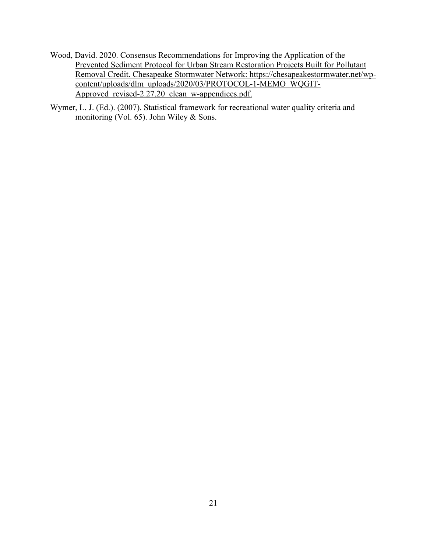- Wood, David. 2020. Consensus Recommendations for Improving the Application of the Prevented Sediment Protocol for Urban Stream Restoration Projects Built for Pollutant Removal Credit. Chesapeake Stormwater Network: [https://chesapeakestormwater.net/wp](https://chesapeakestormwater.net/wp-content/uploads/dlm_uploads/2020/03/PROTOCOL-1-MEMO_WQGIT-Approved_revised-2.27.20_clean_w-appendices.pdf)[content/uploads/dlm\\_uploads/2020/03/PROTOCOL-1-MEMO\\_WQGIT-](https://chesapeakestormwater.net/wp-content/uploads/dlm_uploads/2020/03/PROTOCOL-1-MEMO_WQGIT-Approved_revised-2.27.20_clean_w-appendices.pdf)Approved revised-2[.](http://pubs.water.usgs.gov/tm1d3)27.20 clean w-appendices.pdf.
- Wymer, L. J. (Ed.). (2007). Statistical framework for recreational water quality criteria and monitoring (Vol. 65). John Wiley & Sons.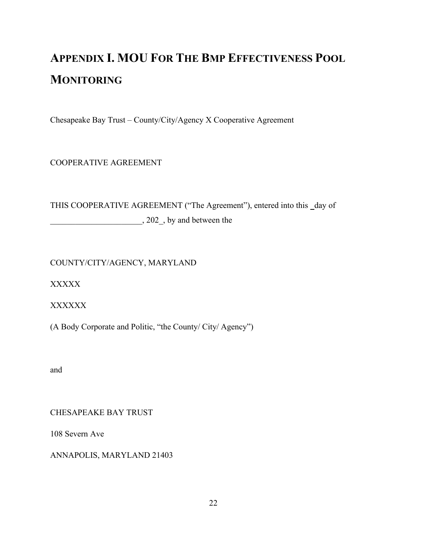## <span id="page-24-0"></span>**APPENDIX I. MOU FOR THE BMP EFFECTIVENESS POOL MONITORING**

Chesapeake Bay Trust – County/City/Agency X Cooperative Agreement

COOPERATIVE AGREEMENT

THIS COOPERATIVE AGREEMENT ("The Agreement"), entered into this \_day of  $\frac{1}{202}$ , by and between the

COUNTY/CITY/AGENCY, MARYLAND

XXXXX

XXXXXX

(A Body Corporate and Politic, "the County/ City/ Agency")

and

CHESAPEAKE BAY TRUST

108 Severn Ave

ANNAPOLIS, MARYLAND 21403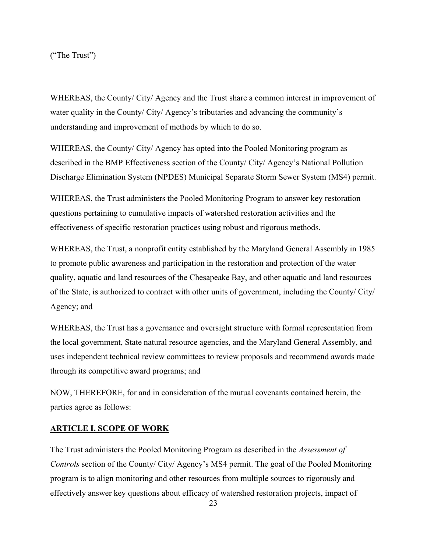("The Trust")

WHEREAS, the County/ City/ Agency and the Trust share a common interest in improvement of water quality in the County/ City/ Agency's tributaries and advancing the community's understanding and improvement of methods by which to do so.

WHEREAS, the County/ City/ Agency has opted into the Pooled Monitoring program as described in the BMP Effectiveness section of the County/ City/ Agency's National Pollution Discharge Elimination System (NPDES) Municipal Separate Storm Sewer System (MS4) permit.

WHEREAS, the Trust administers the Pooled Monitoring Program to answer key restoration questions pertaining to cumulative impacts of watershed restoration activities and the effectiveness of specific restoration practices using robust and rigorous methods.

WHEREAS, the Trust, a nonprofit entity established by the Maryland General Assembly in 1985 to promote public awareness and participation in the restoration and protection of the water quality, aquatic and land resources of the Chesapeake Bay, and other aquatic and land resources of the State, is authorized to contract with other units of government, including the County/ City/ Agency; and

WHEREAS, the Trust has a governance and oversight structure with formal representation from the local government, State natural resource agencies, and the Maryland General Assembly, and uses independent technical review committees to review proposals and recommend awards made through its competitive award programs; and

NOW, THEREFORE, for and in consideration of the mutual covenants contained herein, the parties agree as follows:

#### **ARTICLE I. SCOPE OF WORK**

The Trust administers the Pooled Monitoring Program as described in the *Assessment of Controls* section of the County/ City/ Agency's MS4 permit. The goal of the Pooled Monitoring program is to align monitoring and other resources from multiple sources to rigorously and effectively answer key questions about efficacy of watershed restoration projects, impact of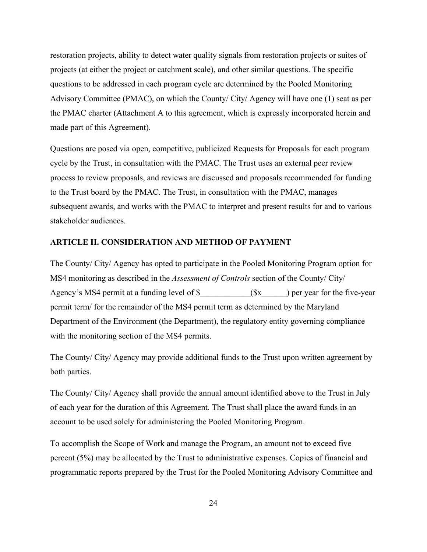restoration projects, ability to detect water quality signals from restoration projects or suites of projects (at either the project or catchment scale), and other similar questions. The specific questions to be addressed in each program cycle are determined by the Pooled Monitoring Advisory Committee (PMAC), on which the County/ City/ Agency will have one (1) seat as per the PMAC charter (Attachment A to this agreement, which is expressly incorporated herein and made part of this Agreement).

Questions are posed via open, competitive, publicized Requests for Proposals for each program cycle by the Trust, in consultation with the PMAC. The Trust uses an external peer review process to review proposals, and reviews are discussed and proposals recommended for funding to the Trust board by the PMAC. The Trust, in consultation with the PMAC, manages subsequent awards, and works with the PMAC to interpret and present results for and to various stakeholder audiences.

#### **ARTICLE II. CONSIDERATION AND METHOD OF PAYMENT**

The County/ City/ Agency has opted to participate in the Pooled Monitoring Program option for MS4 monitoring as described in the *Assessment of Controls* section of the County/ City/ Agency's MS4 permit at a funding level of  $\frac{1}{2}$  (\$x ) per year for the five-year permit term/ for the remainder of the MS4 permit term as determined by the Maryland Department of the Environment (the Department), the regulatory entity governing compliance with the monitoring section of the MS4 permits.

The County/ City/ Agency may provide additional funds to the Trust upon written agreement by both parties.

The County/ City/ Agency shall provide the annual amount identified above to the Trust in July of each year for the duration of this Agreement. The Trust shall place the award funds in an account to be used solely for administering the Pooled Monitoring Program.

To accomplish the Scope of Work and manage the Program, an amount not to exceed five percent (5%) may be allocated by the Trust to administrative expenses. Copies of financial and programmatic reports prepared by the Trust for the Pooled Monitoring Advisory Committee and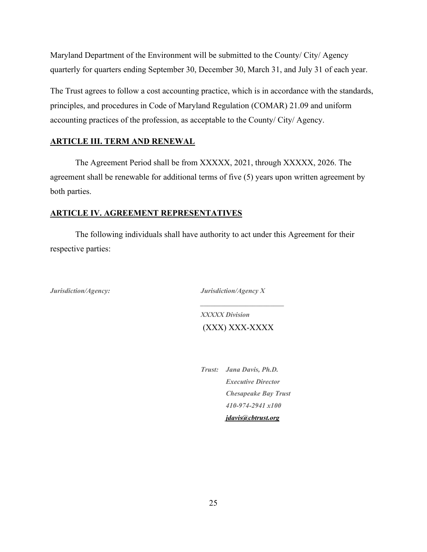Maryland Department of the Environment will be submitted to the County/ City/ Agency quarterly for quarters ending September 30, December 30, March 31, and July 31 of each year.

The Trust agrees to follow a cost accounting practice, which is in accordance with the standards, principles, and procedures in Code of Maryland Regulation (COMAR) 21.09 and uniform accounting practices of the profession, as acceptable to the County/ City/ Agency.

#### **ARTICLE III. TERM AND RENEWAL**

The Agreement Period shall be from XXXXX, 2021, through XXXXX, 2026. The agreement shall be renewable for additional terms of five (5) years upon written agreement by both parties.

#### **ARTICLE IV. AGREEMENT REPRESENTATIVES**

The following individuals shall have authority to act under this Agreement for their respective parties:

*Jurisdiction/Agency: Jurisdiction/Agency X*

*XXXXX Division* (XXX) XXX-XXXX

*\_\_\_\_\_\_\_\_\_\_\_\_\_\_\_\_\_\_\_\_\_\_\_\_*

*Trust: Jana Davis, Ph.D. Executive Director Chesapeake Bay Trust 410-974-2941 x100 [jdavis@cbtrust.org](mailto:jdavis@cbtrust.org)*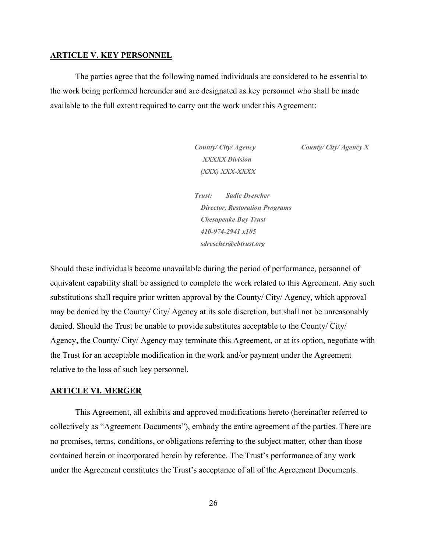#### **ARTICLE V. KEY PERSONNEL**

The parties agree that the following named individuals are considered to be essential to the work being performed hereunder and are designated as key personnel who shall be made available to the full extent required to carry out the work under this Agreement:

> *XXXXX Division (XXX) XXX-XXXX*

*County/ City/ Agency County/ City/ Agency X*

*Trust: Sadie Drescher Director, Restoration Programs Chesapeake Bay Trust 410-974-2941 x105 sdresche[r@cbtrust.org](mailto:jdavis@cbtrust.org)*

Should these individuals become unavailable during the period of performance, personnel of equivalent capability shall be assigned to complete the work related to this Agreement. Any such substitutions shall require prior written approval by the County/ City/ Agency, which approval may be denied by the County/ City/ Agency at its sole discretion, but shall not be unreasonably denied. Should the Trust be unable to provide substitutes acceptable to the County/ City/ Agency, the County/ City/ Agency may terminate this Agreement, or at its option, negotiate with the Trust for an acceptable modification in the work and/or payment under the Agreement relative to the loss of such key personnel.

#### **ARTICLE VI. MERGER**

This Agreement, all exhibits and approved modifications hereto (hereinafter referred to collectively as "Agreement Documents"), embody the entire agreement of the parties. There are no promises, terms, conditions, or obligations referring to the subject matter, other than those contained herein or incorporated herein by reference. The Trust's performance of any work under the Agreement constitutes the Trust's acceptance of all of the Agreement Documents.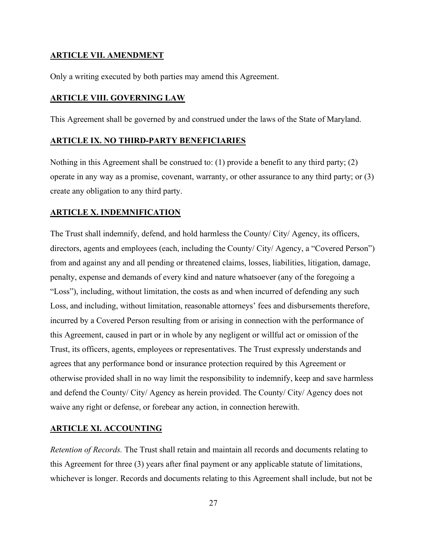#### **ARTICLE VII. AMENDMENT**

Only a writing executed by both parties may amend this Agreement.

#### **ARTICLE VIII. GOVERNING LAW**

This Agreement shall be governed by and construed under the laws of the State of Maryland.

#### **ARTICLE IX. NO THIRD-PARTY BENEFICIARIES**

Nothing in this Agreement shall be construed to: (1) provide a benefit to any third party; (2) operate in any way as a promise, covenant, warranty, or other assurance to any third party; or (3) create any obligation to any third party.

#### **ARTICLE X. INDEMNIFICATION**

The Trust shall indemnify, defend, and hold harmless the County/ City/ Agency, its officers, directors, agents and employees (each, including the County/ City/ Agency, a "Covered Person") from and against any and all pending or threatened claims, losses, liabilities, litigation, damage, penalty, expense and demands of every kind and nature whatsoever (any of the foregoing a "Loss"), including, without limitation, the costs as and when incurred of defending any such Loss, and including, without limitation, reasonable attorneys' fees and disbursements therefore, incurred by a Covered Person resulting from or arising in connection with the performance of this Agreement, caused in part or in whole by any negligent or willful act or omission of the Trust, its officers, agents, employees or representatives. The Trust expressly understands and agrees that any performance bond or insurance protection required by this Agreement or otherwise provided shall in no way limit the responsibility to indemnify, keep and save harmless and defend the County/ City/ Agency as herein provided. The County/ City/ Agency does not waive any right or defense, or forebear any action, in connection herewith.

#### **ARTICLE XI. ACCOUNTING**

*Retention of Records.* The Trust shall retain and maintain all records and documents relating to this Agreement for three (3) years after final payment or any applicable statute of limitations, whichever is longer. Records and documents relating to this Agreement shall include, but not be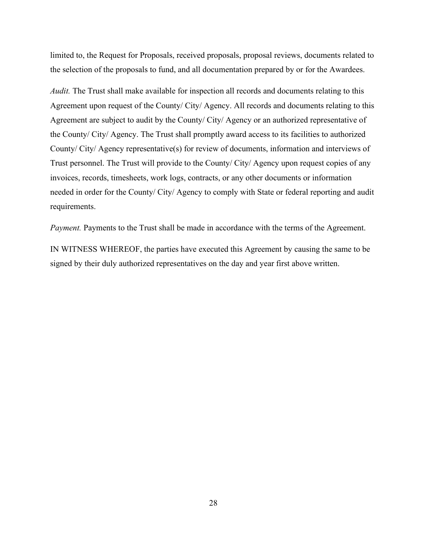limited to, the Request for Proposals, received proposals, proposal reviews, documents related to the selection of the proposals to fund, and all documentation prepared by or for the Awardees.

*Audit.* The Trust shall make available for inspection all records and documents relating to this Agreement upon request of the County/ City/ Agency. All records and documents relating to this Agreement are subject to audit by the County/ City/ Agency or an authorized representative of the County/ City/ Agency. The Trust shall promptly award access to its facilities to authorized County/ City/ Agency representative(s) for review of documents, information and interviews of Trust personnel. The Trust will provide to the County/ City/ Agency upon request copies of any invoices, records, timesheets, work logs, contracts, or any other documents or information needed in order for the County/ City/ Agency to comply with State or federal reporting and audit requirements.

*Payment*. Payments to the Trust shall be made in accordance with the terms of the Agreement.

IN WITNESS WHEREOF, the parties have executed this Agreement by causing the same to be signed by their duly authorized representatives on the day and year first above written.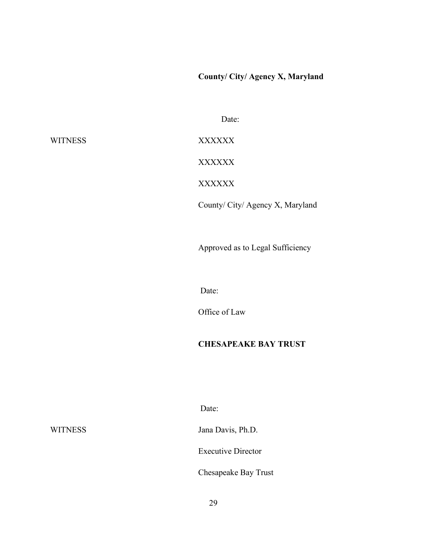**County/ City/ Agency X, Maryland**

Date:

WITNESS XXXXXX

XXXXXX

XXXXXX

County/ City/ Agency X, Maryland

Approved as to Legal Sufficiency

Date:

Office of Law

#### **CHESAPEAKE BAY TRUST**

Date:

WITNESS Jana Davis, Ph.D.

Executive Director

Chesapeake Bay Trust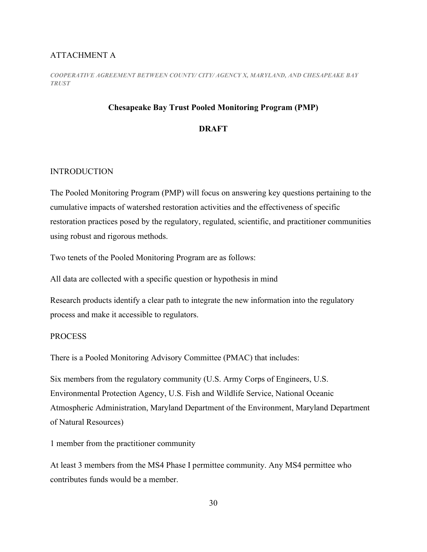#### ATTACHMENT A

*COOPERATIVE AGREEMENT BETWEEN COUNTY/ CITY/ AGENCY X, MARYLAND, AND CHESAPEAKE BAY TRUST*

#### **Chesapeake Bay Trust Pooled Monitoring Program (PMP)**

#### **DRAFT**

#### INTRODUCTION

The Pooled Monitoring Program (PMP) will focus on answering key questions pertaining to the cumulative impacts of watershed restoration activities and the effectiveness of specific restoration practices posed by the regulatory, regulated, scientific, and practitioner communities using robust and rigorous methods.

Two tenets of the Pooled Monitoring Program are as follows:

All data are collected with a specific question or hypothesis in mind

Research products identify a clear path to integrate the new information into the regulatory process and make it accessible to regulators.

#### **PROCESS**

There is a Pooled Monitoring Advisory Committee (PMAC) that includes:

Six members from the regulatory community (U.S. Army Corps of Engineers, U.S. Environmental Protection Agency, U.S. Fish and Wildlife Service, National Oceanic Atmospheric Administration, Maryland Department of the Environment, Maryland Department of Natural Resources)

1 member from the practitioner community

At least 3 members from the MS4 Phase I permittee community. Any MS4 permittee who contributes funds would be a member.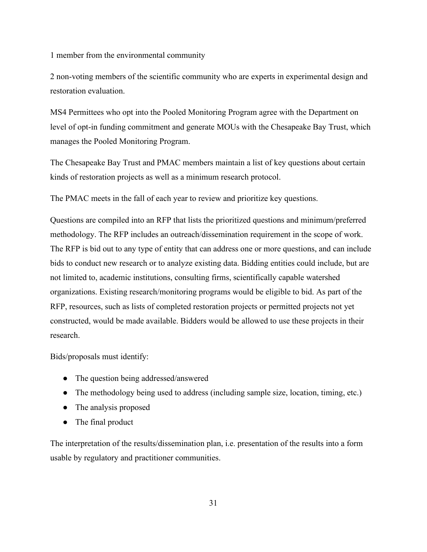1 member from the environmental community

2 non-voting members of the scientific community who are experts in experimental design and restoration evaluation.

MS4 Permittees who opt into the Pooled Monitoring Program agree with the Department on level of opt-in funding commitment and generate MOUs with the Chesapeake Bay Trust, which manages the Pooled Monitoring Program.

The Chesapeake Bay Trust and PMAC members maintain a list of key questions about certain kinds of restoration projects as well as a minimum research protocol.

The PMAC meets in the fall of each year to review and prioritize key questions.

Questions are compiled into an RFP that lists the prioritized questions and minimum/preferred methodology. The RFP includes an outreach/dissemination requirement in the scope of work. The RFP is bid out to any type of entity that can address one or more questions, and can include bids to conduct new research or to analyze existing data. Bidding entities could include, but are not limited to, academic institutions, consulting firms, scientifically capable watershed organizations. Existing research/monitoring programs would be eligible to bid. As part of the RFP, resources, such as lists of completed restoration projects or permitted projects not yet constructed, would be made available. Bidders would be allowed to use these projects in their research.

Bids/proposals must identify:

- The question being addressed/answered
- The methodology being used to address (including sample size, location, timing, etc.)
- The analysis proposed
- The final product

The interpretation of the results/dissemination plan, i.e. presentation of the results into a form usable by regulatory and practitioner communities.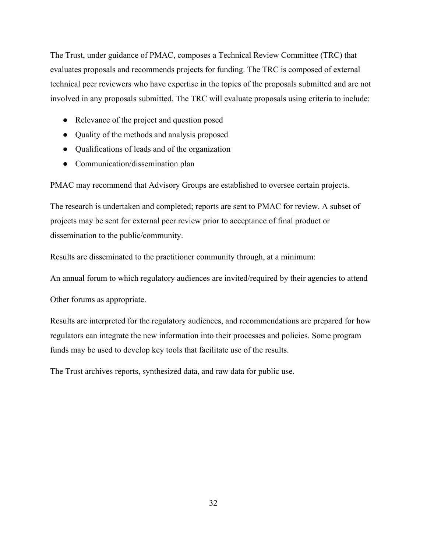The Trust, under guidance of PMAC, composes a Technical Review Committee (TRC) that evaluates proposals and recommends projects for funding. The TRC is composed of external technical peer reviewers who have expertise in the topics of the proposals submitted and are not involved in any proposals submitted. The TRC will evaluate proposals using criteria to include:

- Relevance of the project and question posed
- Quality of the methods and analysis proposed
- Qualifications of leads and of the organization
- Communication/dissemination plan

PMAC may recommend that Advisory Groups are established to oversee certain projects.

The research is undertaken and completed; reports are sent to PMAC for review. A subset of projects may be sent for external peer review prior to acceptance of final product or dissemination to the public/community.

Results are disseminated to the practitioner community through, at a minimum:

An annual forum to which regulatory audiences are invited/required by their agencies to attend

Other forums as appropriate.

Results are interpreted for the regulatory audiences, and recommendations are prepared for how regulators can integrate the new information into their processes and policies. Some program funds may be used to develop key tools that facilitate use of the results.

The Trust archives reports, synthesized data, and raw data for public use.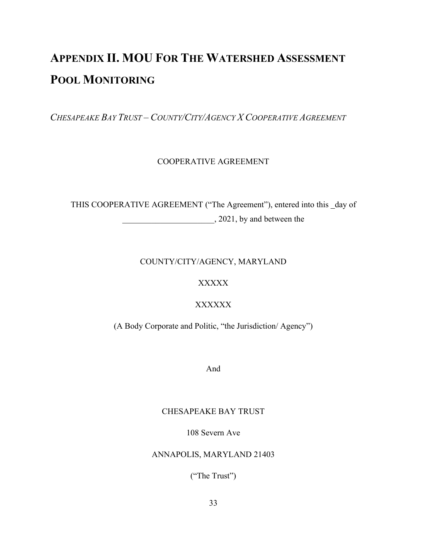## <span id="page-35-0"></span>**APPENDIX II. MOU FOR THE WATERSHED ASSESSMENT POOL MONITORING**

*CHESAPEAKE BAY TRUST – COUNTY/CITY/AGENCY X COOPERATIVE AGREEMENT*

#### COOPERATIVE AGREEMENT

THIS COOPERATIVE AGREEMENT ("The Agreement"), entered into this \_day of  $, 2021$ , by and between the

#### COUNTY/CITY/AGENCY, MARYLAND

#### XXXXX

#### XXXXXX

(A Body Corporate and Politic, "the Jurisdiction/ Agency")

And

#### CHESAPEAKE BAY TRUST

#### 108 Severn Ave

#### ANNAPOLIS, MARYLAND 21403

("The Trust")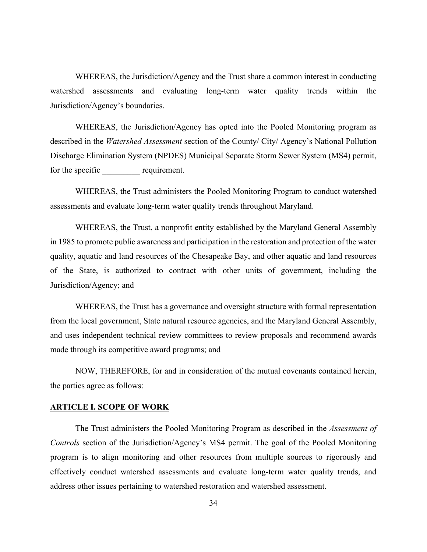WHEREAS, the Jurisdiction/Agency and the Trust share a common interest in conducting watershed assessments and evaluating long-term water quality trends within the Jurisdiction/Agency's boundaries.

WHEREAS, the Jurisdiction/Agency has opted into the Pooled Monitoring program as described in the *Watershed Assessment* section of the County/ City/ Agency's National Pollution Discharge Elimination System (NPDES) Municipal Separate Storm Sewer System (MS4) permit, for the specific requirement.

WHEREAS, the Trust administers the Pooled Monitoring Program to conduct watershed assessments and evaluate long-term water quality trends throughout Maryland.

WHEREAS, the Trust, a nonprofit entity established by the Maryland General Assembly in 1985 to promote public awareness and participation in the restoration and protection of the water quality, aquatic and land resources of the Chesapeake Bay, and other aquatic and land resources of the State, is authorized to contract with other units of government, including the Jurisdiction/Agency; and

WHEREAS, the Trust has a governance and oversight structure with formal representation from the local government, State natural resource agencies, and the Maryland General Assembly, and uses independent technical review committees to review proposals and recommend awards made through its competitive award programs; and

NOW, THEREFORE, for and in consideration of the mutual covenants contained herein, the parties agree as follows:

#### **ARTICLE I. SCOPE OF WORK**

The Trust administers the Pooled Monitoring Program as described in the *Assessment of Controls* section of the Jurisdiction/Agency's MS4 permit. The goal of the Pooled Monitoring program is to align monitoring and other resources from multiple sources to rigorously and effectively conduct watershed assessments and evaluate long-term water quality trends, and address other issues pertaining to watershed restoration and watershed assessment.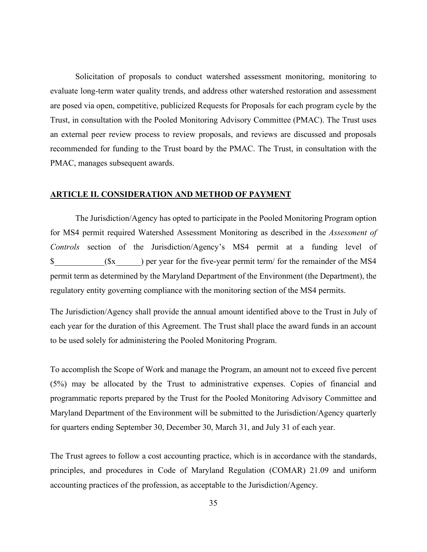Solicitation of proposals to conduct watershed assessment monitoring, monitoring to evaluate long-term water quality trends, and address other watershed restoration and assessment are posed via open, competitive, publicized Requests for Proposals for each program cycle by the Trust, in consultation with the Pooled Monitoring Advisory Committee (PMAC). The Trust uses an external peer review process to review proposals, and reviews are discussed and proposals recommended for funding to the Trust board by the PMAC. The Trust, in consultation with the PMAC, manages subsequent awards.

#### **ARTICLE II. CONSIDERATION AND METHOD OF PAYMENT**

The Jurisdiction/Agency has opted to participate in the Pooled Monitoring Program option for MS4 permit required Watershed Assessment Monitoring as described in the *Assessment of Controls* section of the Jurisdiction/Agency's MS4 permit at a funding level of  $\text{\$}$  ( $\text{\$}x$ ) per year for the five-year permit term/ for the remainder of the MS4 permit term as determined by the Maryland Department of the Environment (the Department), the regulatory entity governing compliance with the monitoring section of the MS4 permits.

The Jurisdiction/Agency shall provide the annual amount identified above to the Trust in July of each year for the duration of this Agreement. The Trust shall place the award funds in an account to be used solely for administering the Pooled Monitoring Program.

To accomplish the Scope of Work and manage the Program, an amount not to exceed five percent (5%) may be allocated by the Trust to administrative expenses. Copies of financial and programmatic reports prepared by the Trust for the Pooled Monitoring Advisory Committee and Maryland Department of the Environment will be submitted to the Jurisdiction/Agency quarterly for quarters ending September 30, December 30, March 31, and July 31 of each year.

The Trust agrees to follow a cost accounting practice, which is in accordance with the standards, principles, and procedures in Code of Maryland Regulation (COMAR) 21.09 and uniform accounting practices of the profession, as acceptable to the Jurisdiction/Agency.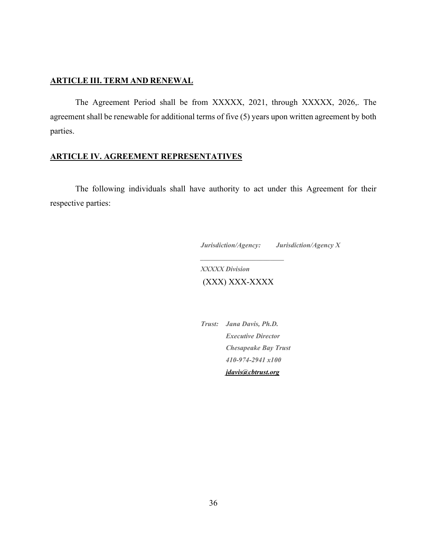#### **ARTICLE III. TERM AND RENEWAL**

The Agreement Period shall be from XXXXX, 2021, through XXXXX, 2026,. The agreement shall be renewable for additional terms of five (5) years upon written agreement by both parties.

#### **ARTICLE IV. AGREEMENT REPRESENTATIVES**

The following individuals shall have authority to act under this Agreement for their respective parties:

*Jurisdiction/Agency: Jurisdiction/Agency X*

*XXXXX Division* (XXX) XXX-XXXX

*\_\_\_\_\_\_\_\_\_\_\_\_\_\_\_\_\_\_\_\_\_\_\_\_*

*Trust: Jana Davis, Ph.D. Executive Director Chesapeake Bay Trust 410-974-2941 x100 [jdavis@cbtrust.org](mailto:jdavis@cbtrust.org)*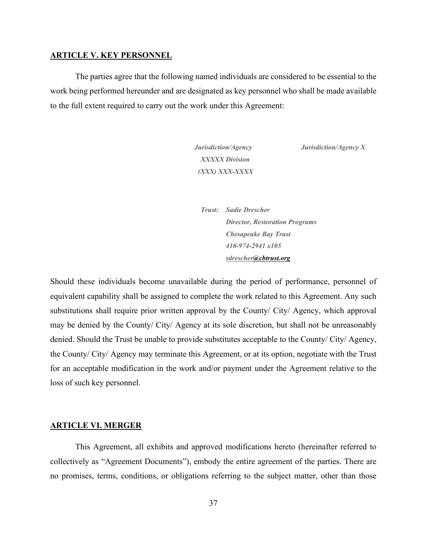#### **ARTICLE V. KEY PERSONNEL**

The parties agree that the following named individuals are considered to be essential to the work being performed hereunder and are designated as key personnel who shall be made available to the full extent required to carry out the work under this Agreement:

> *XXXXX Division (XXX) XXX-XXXX*

*Jurisdiction/Agency Jurisdiction/Agency X*

*Trust: Sadie Drescher Director, Restoration Programs Chesapeake Bay Trust 410-974-2941 x105 sdresche[r@cbtrust.org](mailto:jdavis@cbtrust.org)*

Should these individuals become unavailable during the period of performance, personnel of equivalent capability shall be assigned to complete the work related to this Agreement. Any such substitutions shall require prior written approval by the County/ City/ Agency, which approval may be denied by the County/ City/ Agency at its sole discretion, but shall not be unreasonably denied. Should the Trust be unable to provide substitutes acceptable to the County/ City/ Agency, the County/ City/ Agency may terminate this Agreement, or at its option, negotiate with the Trust for an acceptable modification in the work and/or payment under the Agreement relative to the loss of such key personnel.

#### **ARTICLE VI. MERGER**

This Agreement, all exhibits and approved modifications hereto (hereinafter referred to collectively as "Agreement Documents"), embody the entire agreement of the parties. There are no promises, terms, conditions, or obligations referring to the subject matter, other than those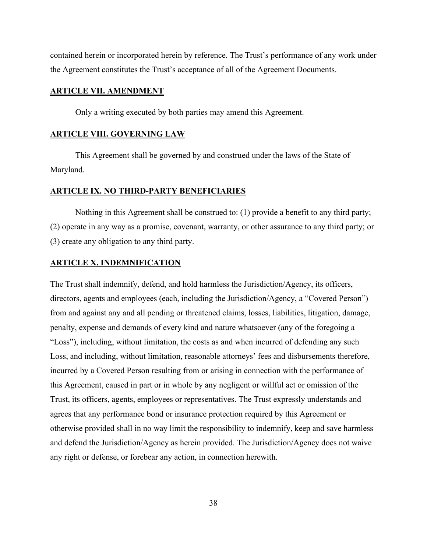contained herein or incorporated herein by reference. The Trust's performance of any work under the Agreement constitutes the Trust's acceptance of all of the Agreement Documents.

#### **ARTICLE VII. AMENDMENT**

Only a writing executed by both parties may amend this Agreement.

#### **ARTICLE VIII. GOVERNING LAW**

This Agreement shall be governed by and construed under the laws of the State of Maryland.

#### **ARTICLE IX. NO THIRD-PARTY BENEFICIARIES**

Nothing in this Agreement shall be construed to: (1) provide a benefit to any third party; (2) operate in any way as a promise, covenant, warranty, or other assurance to any third party; or (3) create any obligation to any third party.

#### **ARTICLE X. INDEMNIFICATION**

The Trust shall indemnify, defend, and hold harmless the Jurisdiction/Agency, its officers, directors, agents and employees (each, including the Jurisdiction/Agency, a "Covered Person") from and against any and all pending or threatened claims, losses, liabilities, litigation, damage, penalty, expense and demands of every kind and nature whatsoever (any of the foregoing a "Loss"), including, without limitation, the costs as and when incurred of defending any such Loss, and including, without limitation, reasonable attorneys' fees and disbursements therefore, incurred by a Covered Person resulting from or arising in connection with the performance of this Agreement, caused in part or in whole by any negligent or willful act or omission of the Trust, its officers, agents, employees or representatives. The Trust expressly understands and agrees that any performance bond or insurance protection required by this Agreement or otherwise provided shall in no way limit the responsibility to indemnify, keep and save harmless and defend the Jurisdiction/Agency as herein provided. The Jurisdiction/Agency does not waive any right or defense, or forebear any action, in connection herewith.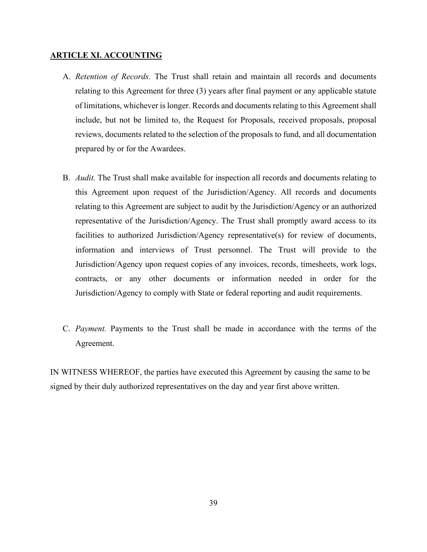#### **ARTICLE XI. ACCOUNTING**

- A. *Retention of Records.* The Trust shall retain and maintain all records and documents relating to this Agreement for three (3) years after final payment or any applicable statute of limitations, whichever is longer. Records and documents relating to this Agreement shall include, but not be limited to, the Request for Proposals, received proposals, proposal reviews, documents related to the selection of the proposals to fund, and all documentation prepared by or for the Awardees.
- B. *Audit.* The Trust shall make available for inspection all records and documents relating to this Agreement upon request of the Jurisdiction/Agency. All records and documents relating to this Agreement are subject to audit by the Jurisdiction/Agency or an authorized representative of the Jurisdiction/Agency. The Trust shall promptly award access to its facilities to authorized Jurisdiction/Agency representative(s) for review of documents, information and interviews of Trust personnel. The Trust will provide to the Jurisdiction/Agency upon request copies of any invoices, records, timesheets, work logs, contracts, or any other documents or information needed in order for the Jurisdiction/Agency to comply with State or federal reporting and audit requirements.
- C. *Payment.* Payments to the Trust shall be made in accordance with the terms of the Agreement.

IN WITNESS WHEREOF, the parties have executed this Agreement by causing the same to be signed by their duly authorized representatives on the day and year first above written.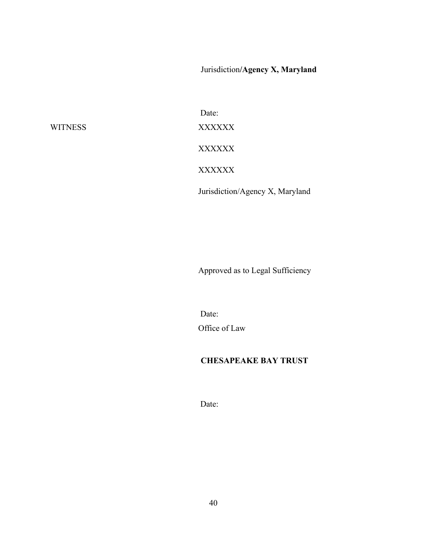Jurisdiction**/Agency X, Maryland**

Date: WITNESS XXXXXX XXXXXX XXXXXX Jurisdiction/Agency X, Maryland

Approved as to Legal Sufficiency

Date: Office of Law

#### **CHESAPEAKE BAY TRUST**

Date: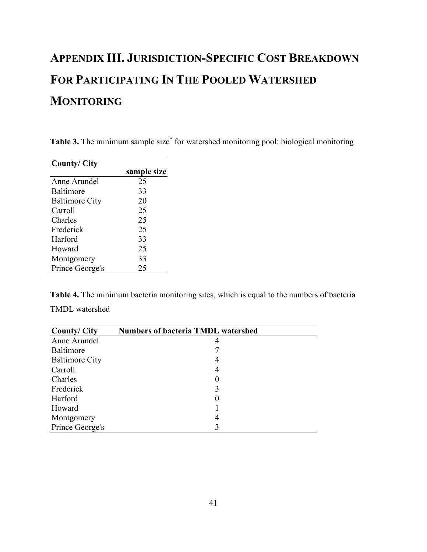## <span id="page-43-0"></span>**APPENDIX III. JURISDICTION-SPECIFIC COST BREAKDOWN FOR PARTICIPATING IN THE POOLED WATERSHED MONITORING**

<span id="page-43-1"></span>**Table 3.** The minimum sample size<sup>\*</sup> for watershed monitoring pool: biological monitoring

| <b>County/City</b>    |             |
|-----------------------|-------------|
|                       | sample size |
| Anne Arundel          | 25          |
| Baltimore             | 33          |
| <b>Baltimore City</b> | 20          |
| Carroll               | 25          |
| Charles               | 25          |
| Frederick             | 25          |
| Harford               | 33          |
| Howard                | 25          |
| Montgomery            | 33          |
| Prince George's       | 25          |

<span id="page-43-2"></span>**Table 4.** The minimum bacteria monitoring sites, which is equal to the numbers of bacteria TMDL watershed

<span id="page-43-3"></span>

| <b>County/City</b>    | <b>Numbers of bacteria TMDL watershed</b> |  |
|-----------------------|-------------------------------------------|--|
| Anne Arundel          |                                           |  |
| Baltimore             |                                           |  |
| <b>Baltimore City</b> | 4                                         |  |
| Carroll               | 4                                         |  |
| Charles               | 0                                         |  |
| Frederick             | 3                                         |  |
| Harford               | 0                                         |  |
| Howard                |                                           |  |
| Montgomery            | 4                                         |  |
| Prince George's       |                                           |  |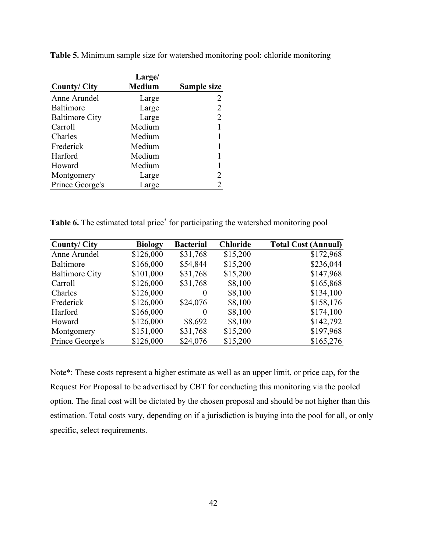|                       | Large/        |                |
|-----------------------|---------------|----------------|
| <b>County/City</b>    | <b>Medium</b> | Sample size    |
| Anne Arundel          | Large         |                |
| Baltimore             | Large         | 2              |
| <b>Baltimore City</b> | Large         | $\overline{2}$ |
| Carroll               | Medium        |                |
| Charles               | Medium        |                |
| Frederick             | Medium        |                |
| Harford               | Medium        |                |
| Howard                | Medium        |                |
| Montgomery            | Large         | 2              |
| Prince George's       | Large         | 2              |

**Table 5.** Minimum sample size for watershed monitoring pool: chloride monitoring

Table 6. The estimated total price<sup>\*</sup> for participating the watershed monitoring pool

| <b>County/City</b>    | <b>Biology</b> | <b>Bacterial</b> | <b>Chloride</b> | <b>Total Cost (Annual)</b> |
|-----------------------|----------------|------------------|-----------------|----------------------------|
| Anne Arundel          | \$126,000      | \$31,768         | \$15,200        | \$172,968                  |
| Baltimore             | \$166,000      | \$54,844         | \$15,200        | \$236,044                  |
| <b>Baltimore City</b> | \$101,000      | \$31,768         | \$15,200        | \$147,968                  |
| Carroll               | \$126,000      | \$31,768         | \$8,100         | \$165,868                  |
| Charles               | \$126,000      | $\theta$         | \$8,100         | \$134,100                  |
| Frederick             | \$126,000      | \$24,076         | \$8,100         | \$158,176                  |
| Harford               | \$166,000      |                  | \$8,100         | \$174,100                  |
| Howard                | \$126,000      | \$8,692          | \$8,100         | \$142,792                  |
| Montgomery            | \$151,000      | \$31,768         | \$15,200        | \$197,968                  |
| Prince George's       | \$126,000      | \$24,076         | \$15,200        | \$165,276                  |

Note\*: These costs represent a higher estimate as well as an upper limit, or price cap, for the Request For Proposal to be advertised by CBT for conducting this monitoring via the pooled option. The final cost will be dictated by the chosen proposal and should be not higher than this estimation. Total costs vary, depending on if a jurisdiction is buying into the pool for all, or only specific, select requirements.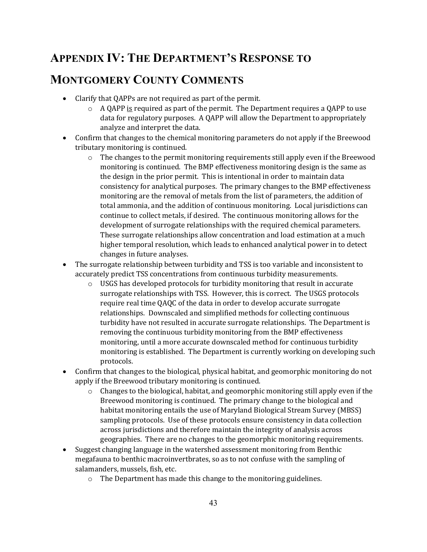## <span id="page-45-0"></span>**APPENDIX IV: THE DEPARTMENT'S RESPONSE TO**

## **MONTGOMERY COUNTY COMMENTS**

- Clarify that QAPPs are not required as part of the permit.
	- $\circ$  A QAPP is required as part of the permit. The Department requires a QAPP to use data for regulatory purposes. A QAPP will allow the Department to appropriately analyze and interpret the data.
- Confirm that changes to the chemical monitoring parameters do not apply if the Breewood tributary monitoring is continued.
	- o The changes to the permit monitoring requirements still apply even if the Breewood monitoring is continued. The BMP effectiveness monitoring design is the same as the design in the prior permit. This is intentional in order to maintain data consistency for analytical purposes. The primary changes to the BMP effectiveness monitoring are the removal of metals from the list of parameters, the addition of total ammonia, and the addition of continuous monitoring. Local jurisdictions can continue to collect metals, if desired. The continuous monitoring allows for the development of surrogate relationships with the required chemical parameters. These surrogate relationships allow concentration and load estimation at a much higher temporal resolution, which leads to enhanced analytical power in to detect changes in future analyses.
- The surrogate relationship between turbidity and TSS is too variable and inconsistent to accurately predict TSS concentrations from continuous turbidity measurements.
	- o USGS has developed protocols for turbidity monitoring that result in accurate surrogate relationships with TSS. However, this is correct. The USGS protocols require real time QAQC of the data in order to develop accurate surrogate relationships. Downscaled and simplified methods for collecting continuous turbidity have not resulted in accurate surrogate relationships. The Department is removing the continuous turbidity monitoring from the BMP effectiveness monitoring, until a more accurate downscaled method for continuous turbidity monitoring is established. The Department is currently working on developing such protocols.
- Confirm that changes to the biological, physical habitat, and geomorphic monitoring do not apply if the Breewood tributary monitoring is continued.
	- o Changes to the biological, habitat, and geomorphic monitoring still apply even if the Breewood monitoring is continued. The primary change to the biological and habitat monitoring entails the use of Maryland Biological Stream Survey (MBSS) sampling protocols. Use of these protocols ensure consistency in data collection across jurisdictions and therefore maintain the integrity of analysis across geographies. There are no changes to the geomorphic monitoring requirements.
- Suggest changing language in the watershed assessment monitoring from Benthic megafauna to benthic macroinvertbrates, so as to not confuse with the sampling of salamanders, mussels, fish, etc.
	- o The Department has made this change to the monitoring guidelines.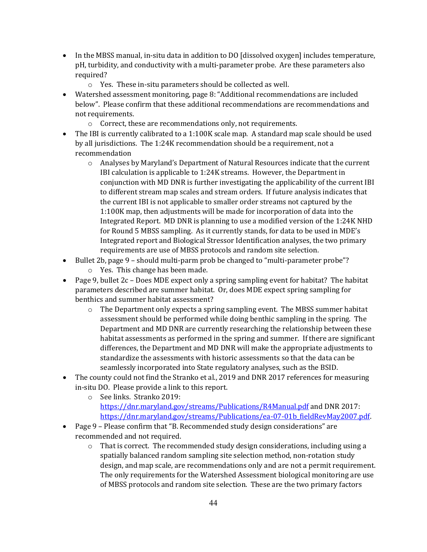- In the MBSS manual, in-situ data in addition to DO [dissolved oxygen] includes temperature, pH, turbidity, and conductivity with a multi-parameter probe. Are these parameters also required?
	- o Yes. These in-situ parameters should be collected as well.
- Watershed assessment monitoring, page 8: "Additional recommendations are included below". Please confirm that these additional recommendations are recommendations and not requirements.
	- o Correct, these are recommendations only, not requirements.
- The IBI is currently calibrated to a 1:100K scale map. A standard map scale should be used by all jurisdictions. The 1:24K recommendation should be a requirement, not a recommendation
	- o Analyses by Maryland's Department of Natural Resources indicate that the current IBI calculation is applicable to 1:24K streams. However, the Department in conjunction with MD DNR is further investigating the applicability of the current IBI to different stream map scales and stream orders. If future analysis indicates that the current IBI is not applicable to smaller order streams not captured by the 1:100K map, then adjustments will be made for incorporation of data into the Integrated Report. MD DNR is planning to use a modified version of the 1:24K NHD for Round 5 MBSS sampling. As it currently stands, for data to be used in MDE's Integrated report and Biological Stressor Identification analyses, the two primary requirements are use of MBSS protocols and random site selection.
- Bullet 2b, page 9 should multi-parm prob be changed to "multi-parameter probe"?
	- o Yes. This change has been made.
- Page 9, bullet  $2c$  Does MDE expect only a spring sampling event for habitat? The habitat parameters described are summer habitat. Or, does MDE expect spring sampling for benthics and summer habitat assessment?
	- o The Department only expects a spring sampling event. The MBSS summer habitat assessment should be performed while doing benthic sampling in the spring. The Department and MD DNR are currently researching the relationship between these habitat assessments as performed in the spring and summer. If there are significant differences, the Department and MD DNR will make the appropriate adjustments to standardize the assessments with historic assessments so that the data can be seamlessly incorporated into State regulatory analyses, such as the BSID.
- The county could not find the Stranko et al., 2019 and DNR 2017 references for measuring in-situ DO. Please provide a link to this report.
	- o See links. Stranko 2019: <https://dnr.maryland.gov/streams/Publications/R4Manual.pdf> and DNR 2017: [https://dnr.maryland.gov/streams/Publications/ea-07-01b\\_fieldRevMay2007.pdf.](https://dnr.maryland.gov/streams/Publications/ea-07-01b_fieldRevMay2007.pdf)
- Page 9 Please confirm that "B. Recommended study design considerations" are recommended and not required.
	- $\circ$  That is correct. The recommended study design considerations, including using a spatially balanced random sampling site selection method, non-rotation study design, and map scale, are recommendations only and are not a permit requirement. The only requirements for the Watershed Assessment biological monitoring are use of MBSS protocols and random site selection. These are the two primary factors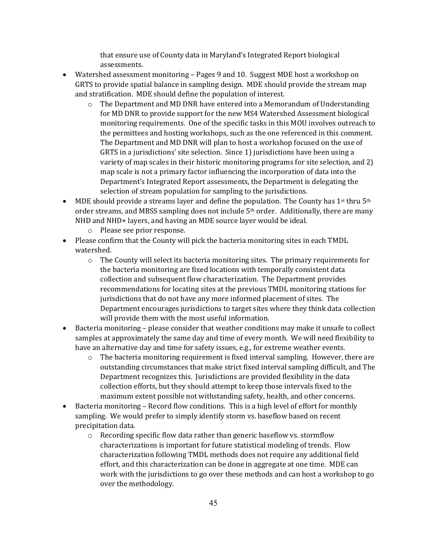that ensure use of County data in Maryland's Integrated Report biological assessments.

- Watershed assessment monitoring Pages 9 and 10. Suggest MDE host a workshop on GRTS to provide spatial balance in sampling design. MDE should provide the stream map and stratification. MDE should define the population of interest.
	- $\circ$  The Department and MD DNR have entered into a Memorandum of Understanding for MD DNR to provide support for the new MS4 Watershed Assessment biological monitoring requirements. One of the specific tasks in this MOU involves outreach to the permittees and hosting workshops, such as the one referenced in this comment. The Department and MD DNR will plan to host a workshop focused on the use of GRTS in a jurisdictions' site selection. Since 1) jurisdictions have been using a variety of map scales in their historic monitoring programs for site selection, and 2) map scale is not a primary factor influencing the incorporation of data into the Department's Integrated Report assessments, the Department is delegating the selection of stream population for sampling to the jurisdictions.
- MDE should provide a streams layer and define the population. The County has  $1^{st}$  thru  $5^{th}$ order streams, and MBSS sampling does not include 5th order. Additionally, there are many NHD and NHD+ layers, and having an MDE source layer would be ideal.
	- o Please see prior response.
- Please confirm that the County will pick the bacteria monitoring sites in each TMDL watershed.
	- $\circ$  The County will select its bacteria monitoring sites. The primary requirements for the bacteria monitoring are fixed locations with temporally consistent data collection and subsequent flow characterization. The Department provides recommendations for locating sites at the previous TMDL monitoring stations for jurisdictions that do not have any more informed placement of sites. The Department encourages jurisdictions to target sites where they think data collection will provide them with the most useful information.
- Bacteria monitoring please consider that weather conditions may make it unsafe to collect samples at approximately the same day and time of every month. We will need flexibility to have an alternative day and time for safety issues, e.g., for extreme weather events.
	- $\circ$  The bacteria monitoring requirement is fixed interval sampling. However, there are outstanding circumstances that make strict fixed interval sampling difficult, and The Department recognizes this. Jurisdictions are provided flexibility in the data collection efforts, but they should attempt to keep those intervals fixed to the maximum extent possible not withstanding safety, health, and other concerns.
- Bacteria monitoring Record flow conditions. This is a high level of effort for monthly sampling. We would prefer to simply identify storm vs. baseflow based on recent precipitation data.
	- $\circ$  Recording specific flow data rather than generic baseflow vs. stormflow characterizations is important for future statistical modeling of trends. Flow characterization following TMDL methods does not require any additional field effort, and this characterization can be done in aggregate at one time. MDE can work with the jurisdictions to go over these methods and can host a workshop to go over the methodology.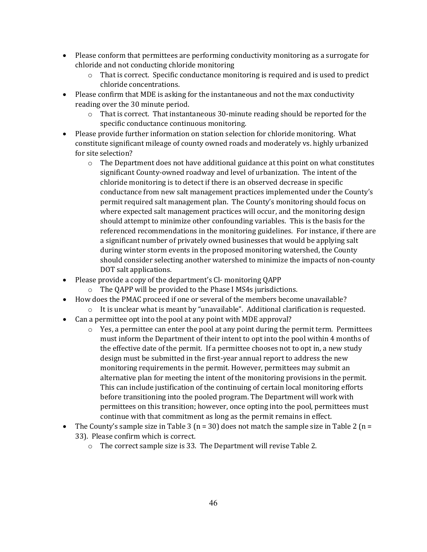- Please conform that permittees are performing conductivity monitoring as a surrogate for chloride and not conducting chloride monitoring
	- $\circ$  That is correct. Specific conductance monitoring is required and is used to predict chloride concentrations.
- Please confirm that MDE is asking for the instantaneous and not the max conductivity reading over the 30 minute period.
	- $\circ$  That is correct. That instantaneous 30-minute reading should be reported for the specific conductance continuous monitoring.
- Please provide further information on station selection for chloride monitoring. What constitute significant mileage of county owned roads and moderately vs. highly urbanized for site selection?
	- $\circ$  The Department does not have additional guidance at this point on what constitutes significant County-owned roadway and level of urbanization. The intent of the chloride monitoring is to detect if there is an observed decrease in specific conductance from new salt management practices implemented under the County's permit required salt management plan. The County's monitoring should focus on where expected salt management practices will occur, and the monitoring design should attempt to minimize other confounding variables. This is the basis for the referenced recommendations in the monitoring guidelines. For instance, if there are a significant number of privately owned businesses that would be applying salt during winter storm events in the proposed monitoring watershed, the County should consider selecting another watershed to minimize the impacts of non-county DOT salt applications.
- Please provide a copy of the department's Cl-monitoring QAPP
	- o The QAPP will be provided to the Phase I MS4s jurisdictions.
- How does the PMAC proceed if one or several of the members become unavailable?
	- $\circ$  It is unclear what is meant by "unavailable". Additional clarification is requested.
- Can a permittee opt into the pool at any point with MDE approval?
	- $\circ$  Yes, a permittee can enter the pool at any point during the permit term. Permittees must inform the Department of their intent to opt into the pool within 4 months of the effective date of the permit. If a permittee chooses not to opt in, a new study design must be submitted in the first-year annual report to address the new monitoring requirements in the permit. However, permittees may submit an alternative plan for meeting the intent of the monitoring provisions in the permit. This can include justification of the continuing of certain local monitoring efforts before transitioning into the pooled program. The Department will work with permittees on this transition; however, once opting into the pool, permittees must continue with that commitment as long as the permit remains in effect.
- The County's sample size in Table 3 ( $n = 30$ ) does not match the sample size in Table 2 ( $n =$ 33). Please confirm which is correct.
	- o The correct sample size is 33. The Department will revise Table 2.